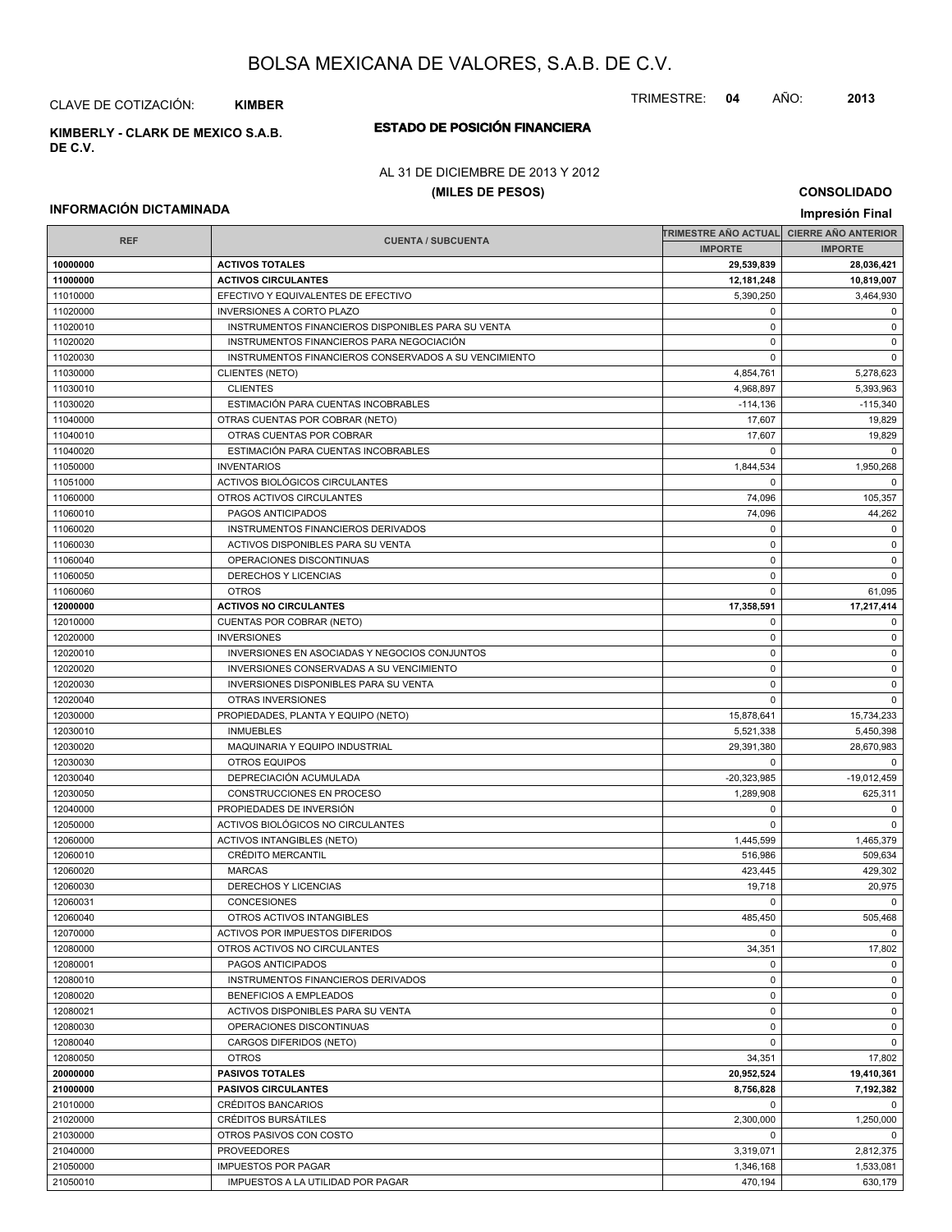CLAVE DE COTIZACIÓN: **KIMBER**

**DE C.V.**

### **ESTADO DE POSICIÓN FINANCIERA KIMBERLY - CLARK DE MEXICO S.A.B.**

#### AL 31 DE DICIEMBRE DE 2013 Y 2012

#### **(MILES DE PESOS)**

**CONSOLIDADO Impresión Final**

#### **INFORMACIÓN DICTAMINADA**

|            |                                                       | TRIMESTRE AÑO ACTUAL CIERRE AÑO ANTERIOR |                |
|------------|-------------------------------------------------------|------------------------------------------|----------------|
| <b>REF</b> | <b>CUENTA / SUBCUENTA</b>                             | <b>IMPORTE</b>                           | <b>IMPORTE</b> |
| 10000000   | <b>ACTIVOS TOTALES</b>                                | 29,539,839                               | 28,036,421     |
| 11000000   | <b>ACTIVOS CIRCULANTES</b>                            | 12,181,248                               | 10,819,007     |
| 11010000   | EFECTIVO Y EQUIVALENTES DE EFECTIVO                   | 5,390,250                                | 3,464,930      |
| 11020000   | <b>INVERSIONES A CORTO PLAZO</b>                      | 0                                        | 0              |
| 11020010   | INSTRUMENTOS FINANCIEROS DISPONIBLES PARA SU VENTA    | 0                                        | 0              |
| 11020020   | INSTRUMENTOS FINANCIEROS PARA NEGOCIACIÓN             | 0                                        | $\mathbf 0$    |
| 11020030   | INSTRUMENTOS FINANCIEROS CONSERVADOS A SU VENCIMIENTO | 0                                        | $\mathbf 0$    |
|            |                                                       |                                          |                |
| 11030000   | <b>CLIENTES (NETO)</b>                                | 4,854,761                                | 5,278,623      |
| 11030010   | <b>CLIENTES</b>                                       | 4,968,897                                | 5,393,963      |
| 11030020   | ESTIMACIÓN PARA CUENTAS INCOBRABLES                   | $-114, 136$                              | $-115,340$     |
| 11040000   | OTRAS CUENTAS POR COBRAR (NETO)                       | 17,607                                   | 19,829         |
| 11040010   | OTRAS CUENTAS POR COBRAR                              | 17,607                                   | 19,829         |
| 11040020   | ESTIMACIÓN PARA CUENTAS INCOBRABLES                   | 0                                        | $\mathbf 0$    |
| 11050000   | <b>INVENTARIOS</b>                                    | 1,844,534                                | 1,950,268      |
| 11051000   | ACTIVOS BIOLÓGICOS CIRCULANTES                        | $\Omega$                                 | $\mathbf 0$    |
| 11060000   | OTROS ACTIVOS CIRCULANTES                             | 74,096                                   | 105,357        |
| 11060010   | <b>PAGOS ANTICIPADOS</b>                              | 74,096                                   | 44,262         |
| 11060020   | INSTRUMENTOS FINANCIEROS DERIVADOS                    | 0                                        | $\mathbf 0$    |
| 11060030   | ACTIVOS DISPONIBLES PARA SU VENTA                     | 0                                        | 0              |
| 11060040   | OPERACIONES DISCONTINUAS                              | 0                                        | 0              |
| 11060050   | DERECHOS Y LICENCIAS                                  | 0                                        | $\mathsf 0$    |
| 11060060   | <b>OTROS</b>                                          | $\mathbf 0$                              | 61,095         |
| 12000000   | <b>ACTIVOS NO CIRCULANTES</b>                         | 17,358,591                               | 17,217,414     |
| 12010000   | CUENTAS POR COBRAR (NETO)                             | 0                                        | $\mathbf 0$    |
| 12020000   | <b>INVERSIONES</b>                                    | 0                                        | 0              |
|            | INVERSIONES EN ASOCIADAS Y NEGOCIOS CONJUNTOS         | 0                                        | 0              |
| 12020010   |                                                       |                                          |                |
| 12020020   | INVERSIONES CONSERVADAS A SU VENCIMIENTO              | 0                                        | 0              |
| 12020030   | INVERSIONES DISPONIBLES PARA SU VENTA                 | 0                                        | 0              |
| 12020040   | <b>OTRAS INVERSIONES</b>                              | $\mathbf 0$                              | $\mathbf 0$    |
| 12030000   | PROPIEDADES, PLANTA Y EQUIPO (NETO)                   | 15,878,641                               | 15,734,233     |
| 12030010   | <b>INMUEBLES</b>                                      | 5,521,338                                | 5,450,398      |
| 12030020   | MAQUINARIA Y EQUIPO INDUSTRIAL                        | 29,391,380                               | 28,670,983     |
| 12030030   | <b>OTROS EQUIPOS</b>                                  | $\Omega$                                 | $\mathbf 0$    |
| 12030040   | DEPRECIACIÓN ACUMULADA                                | $-20,323,985$                            | $-19,012,459$  |
| 12030050   | CONSTRUCCIONES EN PROCESO                             | 1,289,908                                | 625,311        |
| 12040000   | PROPIEDADES DE INVERSIÓN                              | 0                                        | $\mathbf 0$    |
| 12050000   | ACTIVOS BIOLÓGICOS NO CIRCULANTES                     | 0                                        | $\mathbf 0$    |
| 12060000   | <b>ACTIVOS INTANGIBLES (NETO)</b>                     | 1,445,599                                | 1,465,379      |
| 12060010   | <b>CRÉDITO MERCANTIL</b>                              | 516,986                                  | 509,634        |
| 12060020   | <b>MARCAS</b>                                         | 423,445                                  | 429,302        |
| 12060030   | <b>DERECHOS Y LICENCIAS</b>                           | 19,718                                   | 20,975         |
| 12060031   | <b>CONCESIONES</b>                                    | $\Omega$                                 | $\mathbf 0$    |
| 12060040   | OTROS ACTIVOS INTANGIBLES                             | 485,450                                  | 505,468        |
| 12070000   | ACTIVOS POR IMPUESTOS DIFERIDOS                       | 0                                        | $\mathsf 0$    |
| 12080000   | OTROS ACTIVOS NO CIRCULANTES                          | 34,351                                   | 17,802         |
| 12080001   | PAGOS ANTICIPADOS                                     | 0                                        | $\mathbf 0$    |
| 12080010   | INSTRUMENTOS FINANCIEROS DERIVADOS                    | 0                                        | $\mathbf 0$    |
| 12080020   | <b>BENEFICIOS A EMPLEADOS</b>                         | 0                                        | $\mathbf 0$    |
| 12080021   |                                                       | $\mathbf 0$                              | 0              |
|            | ACTIVOS DISPONIBLES PARA SU VENTA                     |                                          |                |
| 12080030   | OPERACIONES DISCONTINUAS                              | 0                                        | 0              |
| 12080040   | CARGOS DIFERIDOS (NETO)                               | 0                                        | $\mathbf 0$    |
| 12080050   | <b>OTROS</b>                                          | 34,351                                   | 17,802         |
| 20000000   | <b>PASIVOS TOTALES</b>                                | 20,952,524                               | 19,410,361     |
| 21000000   | <b>PASIVOS CIRCULANTES</b>                            | 8,756,828                                | 7,192,382      |
| 21010000   | <b>CRÉDITOS BANCARIOS</b>                             | 0                                        | $\mathbf 0$    |
| 21020000   | <b>CRÉDITOS BURSÁTILES</b>                            | 2,300,000                                | 1,250,000      |
| 21030000   | OTROS PASIVOS CON COSTO                               | $\Omega$                                 | $\mathbf 0$    |
| 21040000   | <b>PROVEEDORES</b>                                    | 3,319,071                                | 2,812,375      |
| 21050000   | <b>IMPUESTOS POR PAGAR</b>                            | 1,346,168                                | 1,533,081      |
| 21050010   | IMPUESTOS A LA UTILIDAD POR PAGAR                     | 470,194                                  | 630,179        |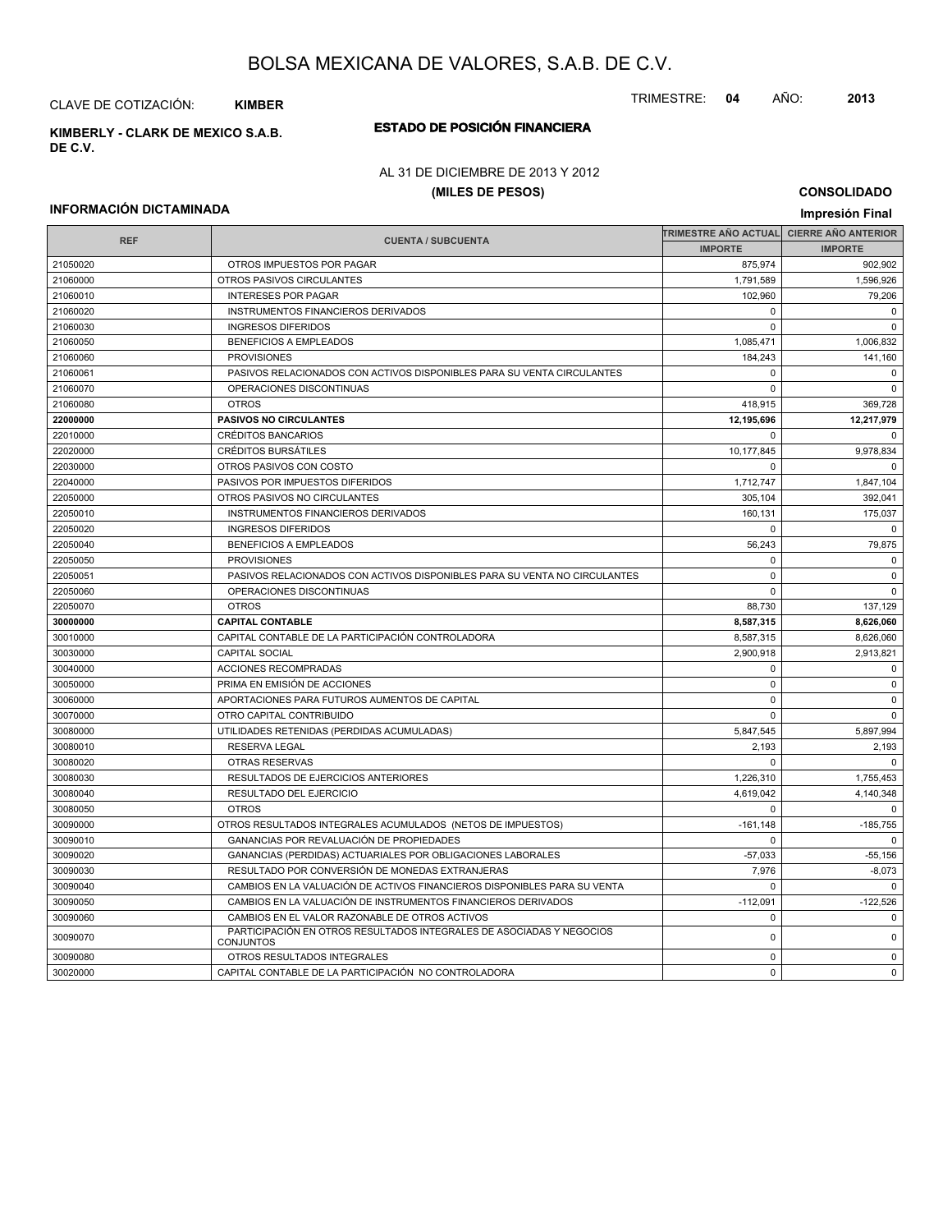CLAVE DE COTIZACIÓN: **KIMBER**

**ESTADO DE POSICIÓN FINANCIERA KIMBERLY - CLARK DE MEXICO S.A.B. DE C.V.**

#### AL 31 DE DICIEMBRE DE 2013 Y 2012

#### **(MILES DE PESOS)**

**CONSOLIDADO Impresión Final**

#### **INFORMACIÓN DICTAMINADA**

|            |                                                                                          | TRIMESTRE AÑO ACTUAL CIERRE AÑO ANTERIOR |                |
|------------|------------------------------------------------------------------------------------------|------------------------------------------|----------------|
| <b>REF</b> | <b>CUENTA / SUBCUENTA</b>                                                                | <b>IMPORTE</b>                           | <b>IMPORTE</b> |
| 21050020   | OTROS IMPUESTOS POR PAGAR                                                                | 875,974                                  | 902,902        |
| 21060000   | OTROS PASIVOS CIRCULANTES                                                                | 1,791,589                                | 1,596,926      |
| 21060010   | <b>INTERESES POR PAGAR</b>                                                               | 102,960                                  | 79,206         |
| 21060020   | INSTRUMENTOS FINANCIEROS DERIVADOS                                                       | 0                                        | $\mathsf 0$    |
| 21060030   | <b>INGRESOS DIFERIDOS</b>                                                                | $\mathbf 0$                              | $\mathbf 0$    |
| 21060050   | BENEFICIOS A EMPLEADOS                                                                   | 1,085,471                                | 1,006,832      |
| 21060060   | <b>PROVISIONES</b>                                                                       | 184,243                                  | 141,160        |
| 21060061   | PASIVOS RELACIONADOS CON ACTIVOS DISPONIBLES PARA SU VENTA CIRCULANTES                   | 0                                        | 0              |
| 21060070   | OPERACIONES DISCONTINUAS                                                                 | $\mathbf 0$                              | $\mathbf 0$    |
| 21060080   | <b>OTROS</b>                                                                             | 418,915                                  | 369,728        |
| 22000000   | PASIVOS NO CIRCULANTES                                                                   | 12,195,696                               | 12,217,979     |
| 22010000   | <b>CRÉDITOS BANCARIOS</b>                                                                | $\mathbf 0$                              | $\mathbf{0}$   |
| 22020000   | <b>CRÉDITOS BURSÁTILES</b>                                                               | 10,177,845                               | 9,978,834      |
| 22030000   | OTROS PASIVOS CON COSTO                                                                  | $\Omega$                                 | $\Omega$       |
| 22040000   | PASIVOS POR IMPUESTOS DIFERIDOS                                                          | 1,712,747                                | 1,847,104      |
| 22050000   | OTROS PASIVOS NO CIRCULANTES                                                             | 305,104                                  | 392,041        |
| 22050010   | INSTRUMENTOS FINANCIEROS DERIVADOS                                                       | 160,131                                  | 175,037        |
| 22050020   | <b>INGRESOS DIFERIDOS</b>                                                                | $\mathbf 0$                              | $\mathbf 0$    |
| 22050040   | <b>BENEFICIOS A EMPLEADOS</b>                                                            | 56,243                                   | 79,875         |
| 22050050   | <b>PROVISIONES</b>                                                                       | 0                                        | $\mathbf 0$    |
| 22050051   | PASIVOS RELACIONADOS CON ACTIVOS DISPONIBLES PARA SU VENTA NO CIRCULANTES                | $\Omega$                                 | $\mathbf 0$    |
| 22050060   | OPERACIONES DISCONTINUAS                                                                 | $\mathbf 0$                              | $\Omega$       |
| 22050070   | <b>OTROS</b>                                                                             | 88,730                                   | 137,129        |
| 30000000   | <b>CAPITAL CONTABLE</b>                                                                  | 8,587,315                                | 8,626,060      |
| 30010000   | CAPITAL CONTABLE DE LA PARTICIPACIÓN CONTROLADORA                                        | 8,587,315                                | 8,626,060      |
| 30030000   | <b>CAPITAL SOCIAL</b>                                                                    | 2.900.918                                | 2.913.821      |
| 30040000   | <b>ACCIONES RECOMPRADAS</b>                                                              | $\Omega$                                 | $\Omega$       |
| 30050000   | PRIMA EN EMISIÓN DE ACCIONES                                                             | $\Omega$                                 | $\mathbf 0$    |
| 30060000   | APORTACIONES PARA FUTUROS AUMENTOS DE CAPITAL                                            | 0                                        | $\mathsf 0$    |
| 30070000   | OTRO CAPITAL CONTRIBUIDO                                                                 | $\mathbf 0$                              | $\mathsf 0$    |
| 30080000   | UTILIDADES RETENIDAS (PERDIDAS ACUMULADAS)                                               | 5,847,545                                | 5,897,994      |
| 30080010   | <b>RESERVA LEGAL</b>                                                                     | 2,193                                    | 2,193          |
| 30080020   | OTRAS RESERVAS                                                                           | 0                                        | $\mathbf{0}$   |
| 30080030   | RESULTADOS DE EJERCICIOS ANTERIORES                                                      | 1,226,310                                | 1,755,453      |
| 30080040   | RESULTADO DEL EJERCICIO                                                                  | 4,619,042                                | 4,140,348      |
| 30080050   | <b>OTROS</b>                                                                             | $\mathbf 0$                              | $\mathbf 0$    |
| 30090000   | OTROS RESULTADOS INTEGRALES ACUMULADOS (NETOS DE IMPUESTOS)                              | $-161,148$                               | $-185,755$     |
| 30090010   | GANANCIAS POR REVALUACIÓN DE PROPIEDADES                                                 | 0                                        | $\mathbf 0$    |
| 30090020   | GANANCIAS (PERDIDAS) ACTUARIALES POR OBLIGACIONES LABORALES                              | $-57,033$                                | $-55,156$      |
| 30090030   | RESULTADO POR CONVERSIÓN DE MONEDAS EXTRANJERAS                                          | 7,976                                    | $-8,073$       |
| 30090040   | CAMBIOS EN LA VALUACIÓN DE ACTIVOS FINANCIEROS DISPONIBLES PARA SU VENTA                 | $\mathbf 0$                              | $\Omega$       |
| 30090050   | CAMBIOS EN LA VALUACIÓN DE INSTRUMENTOS FINANCIEROS DERIVADOS                            | $-112,091$                               | $-122,526$     |
| 30090060   | CAMBIOS EN EL VALOR RAZONABLE DE OTROS ACTIVOS                                           | 0                                        | $\mathbf 0$    |
| 30090070   | PARTICIPACIÓN EN OTROS RESULTADOS INTEGRALES DE ASOCIADAS Y NEGOCIOS<br><b>CONJUNTOS</b> | $\pmb{0}$                                | $\mathsf 0$    |
| 30090080   | OTROS RESULTADOS INTEGRALES                                                              | $\mathbf 0$                              | $\mathbf 0$    |
| 30020000   | CAPITAL CONTABLE DE LA PARTICIPACIÓN NO CONTROLADORA                                     | $\Omega$                                 | $\Omega$       |

TRIMESTRE: **04** AÑO: **2013**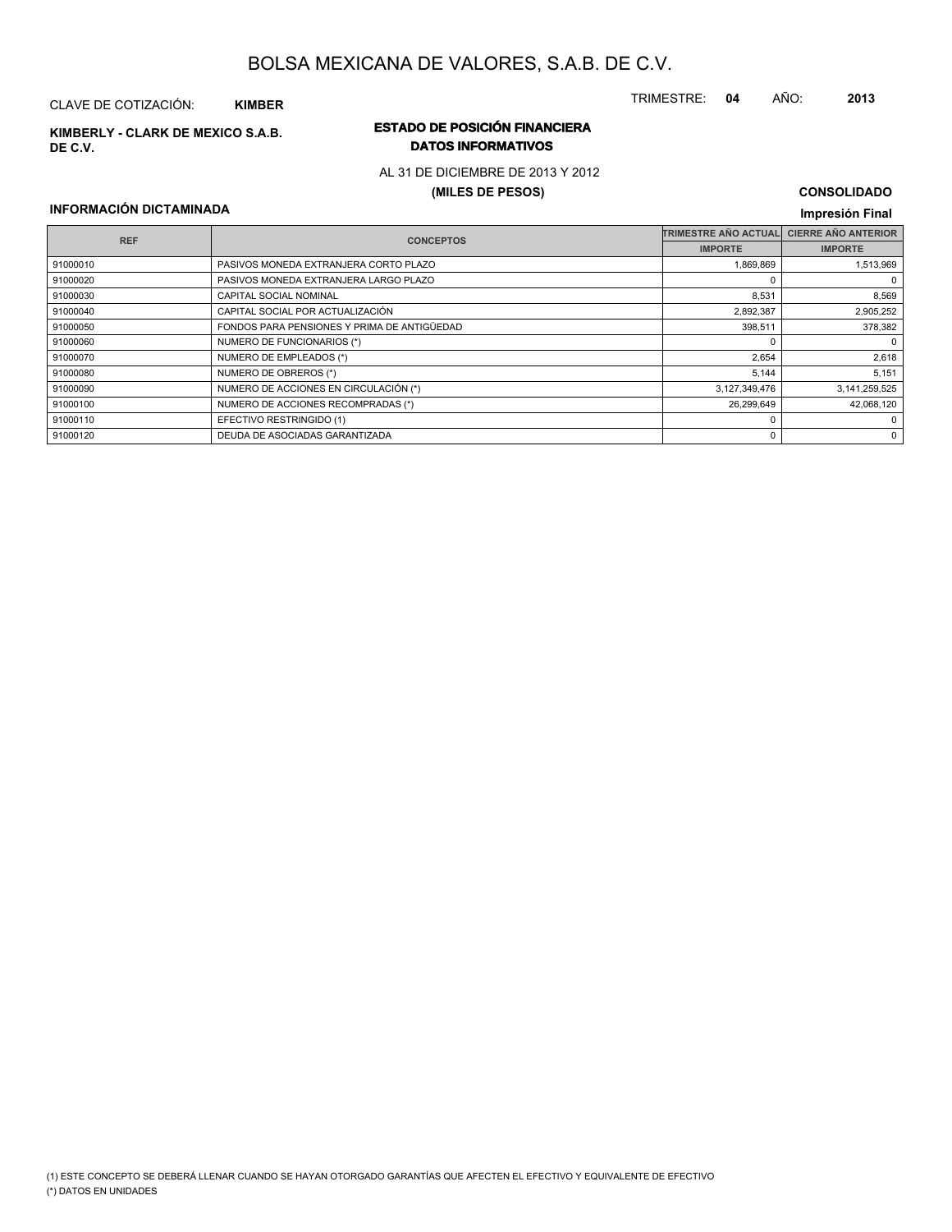### CLAVE DE COTIZACIÓN: **KIMBER**

**DE C.V.**

### **ESTADO DE POSICIÓN FINANCIERA KIMBERLY - CLARK DE MEXICO S.A.B. DATOS INFORMATIVOS**

#### AL 31 DE DICIEMBRE DE 2013 Y 2012

#### **(MILES DE PESOS)**

#### **CONSOLIDADO Impresión Final**

#### **INFORMACIÓN DICTAMINADA**

| <b>REF</b> | <b>CONCEPTOS</b>                            | TRIMESTRE AÑO ACTUAL | <b>CIERRE AÑO ANTERIOR</b> |
|------------|---------------------------------------------|----------------------|----------------------------|
|            |                                             | <b>IMPORTE</b>       | <b>IMPORTE</b>             |
| 91000010   | PASIVOS MONEDA EXTRANJERA CORTO PLAZO       | 1,869,869            | 1.513.969                  |
| 91000020   | PASIVOS MONEDA EXTRANJERA LARGO PLAZO       |                      | 0                          |
| 91000030   | CAPITAL SOCIAL NOMINAL                      | 8,531                | 8,569                      |
| 91000040   | CAPITAL SOCIAL POR ACTUALIZACIÓN            | 2,892,387            | 2,905,252                  |
| 91000050   | FONDOS PARA PENSIONES Y PRIMA DE ANTIGÜEDAD | 398.511              | 378,382                    |
| 91000060   | NUMERO DE FUNCIONARIOS (*)                  |                      | $\mathbf 0$                |
| 91000070   | NUMERO DE EMPLEADOS (*)                     | 2,654                | 2,618                      |
| 91000080   | NUMERO DE OBREROS (*)                       | 5,144                | 5,151                      |
| 91000090   | NUMERO DE ACCIONES EN CIRCULACIÓN (*)       | 3,127,349,476        | 3,141,259,525              |
| 91000100   | NUMERO DE ACCIONES RECOMPRADAS (*)          | 26,299,649           | 42,068,120                 |
| 91000110   | EFECTIVO RESTRINGIDO (1)                    |                      | 0                          |
| 91000120   | DEUDA DE ASOCIADAS GARANTIZADA              |                      | 0                          |

TRIMESTRE: **04** AÑO: **2013**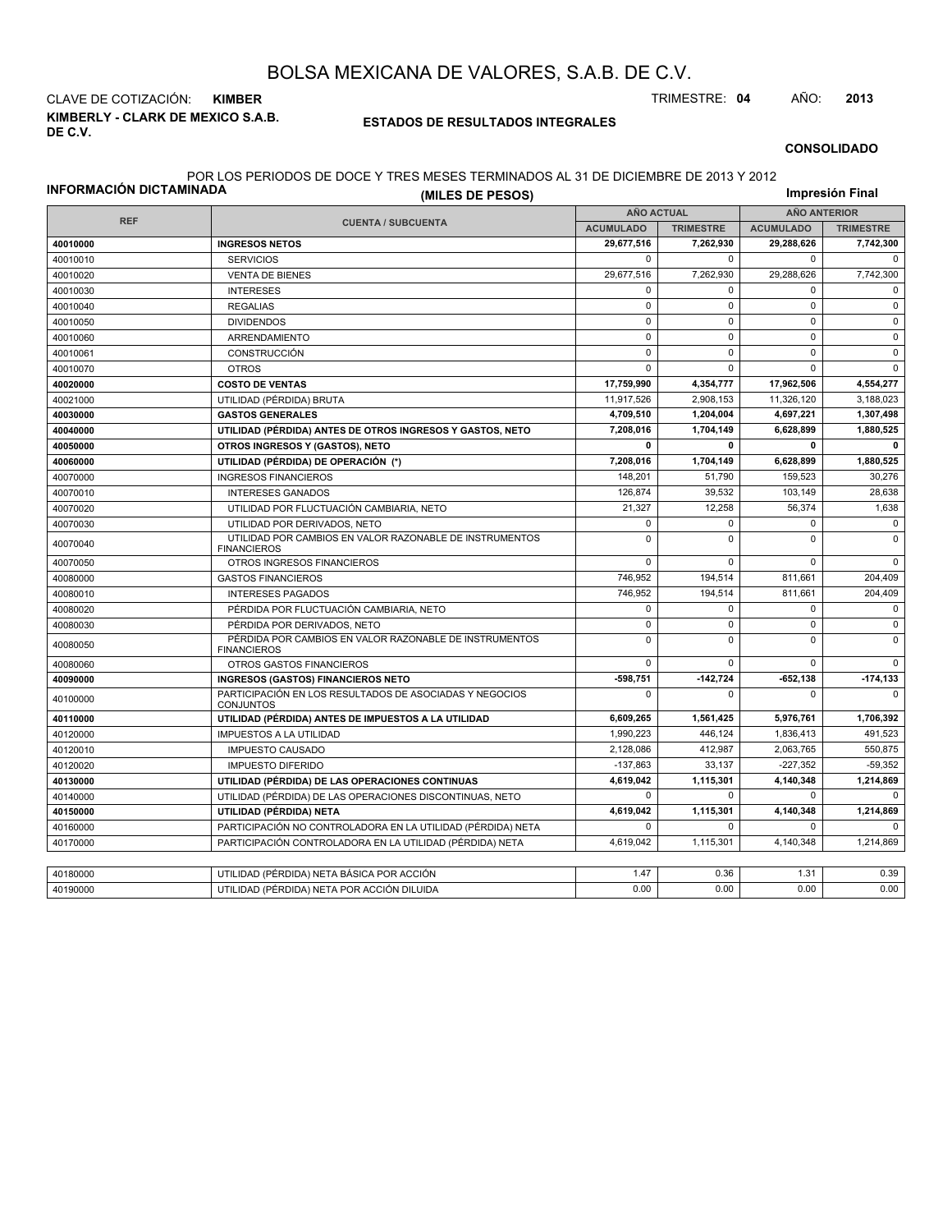**KIMBERLY - CLARK DE MEXICO S.A.B. DE C.V.** CLAVE DE COTIZACIÓN: **KIMBER** TRIMESTRE: **04** AÑO: **2013**

#### **ESTADOS DE RESULTADOS INTEGRALES**

#### **CONSOLIDADO**

#### POR LOS PERIODOS DE DOCE Y TRES MESES TERMINADOS AL 31 DE DICIEMBRE DE 2013 Y 2012

|                                       | (MILES DE PESOS)                                                              |                   |                  |                     | Impresión Final  |
|---------------------------------------|-------------------------------------------------------------------------------|-------------------|------------------|---------------------|------------------|
| INFORMACIÓN DICTAMINADA<br><b>REF</b> |                                                                               | <b>AÑO ACTUAL</b> |                  | <b>AÑO ANTERIOR</b> |                  |
|                                       | <b>CUENTA / SUBCUENTA</b>                                                     | <b>ACUMULADO</b>  | <b>TRIMESTRE</b> | <b>ACUMULADO</b>    | <b>TRIMESTRE</b> |
| 40010000                              | <b>INGRESOS NETOS</b>                                                         | 29,677,516        | 7,262,930        | 29,288,626          | 7,742,300        |
| 40010010                              | <b>SERVICIOS</b>                                                              | $\mathbf 0$       | $\mathbf 0$      | $\mathsf 0$         | $\mathbf 0$      |
| 40010020                              | <b>VENTA DE BIENES</b>                                                        | 29,677,516        | 7,262,930        | 29.288.626          | 7,742,300        |
| 40010030                              | <b>INTERESES</b>                                                              | 0                 | $\mathbf 0$      | 0                   | $\mathbf 0$      |
| 40010040                              | <b>REGALIAS</b>                                                               | $\mathbf 0$       | $\mathbf 0$      | $\mathbf 0$         | $\mathbf 0$      |
| 40010050                              | <b>DIVIDENDOS</b>                                                             | $\mathbf 0$       | $\mathbf 0$      | $\mathbf 0$         | $\mathbf 0$      |
| 40010060                              | ARRENDAMIENTO                                                                 | $\pmb{0}$         | $\mathbf 0$      | 0                   | $\mathsf 0$      |
| 40010061                              | CONSTRUCCIÓN                                                                  | $\mathbf 0$       | $\Omega$         | $\mathbf 0$         | $\mathbf 0$      |
| 40010070                              | <b>OTROS</b>                                                                  | $\mathbf 0$       | $\Omega$         | $\mathbf 0$         | $\mathbf 0$      |
| 40020000                              | <b>COSTO DE VENTAS</b>                                                        | 17,759,990        | 4,354,777        | 17,962,506          | 4,554,277        |
| 40021000                              | UTILIDAD (PÉRDIDA) BRUTA                                                      | 11,917,526        | 2,908,153        | 11,326,120          | 3,188,023        |
| 40030000                              | <b>GASTOS GENERALES</b>                                                       | 4,709,510         | 1,204,004        | 4,697,221           | 1,307,498        |
| 40040000                              | UTILIDAD (PÉRDIDA) ANTES DE OTROS INGRESOS Y GASTOS, NETO                     | 7,208,016         | 1,704,149        | 6,628,899           | 1,880,525        |
| 40050000                              | OTROS INGRESOS Y (GASTOS), NETO                                               | 0                 | $\mathbf 0$      | 0                   | $\mathbf 0$      |
| 40060000                              | UTILIDAD (PÉRDIDA) DE OPERACIÓN (*)                                           | 7,208,016         | 1,704,149        | 6,628,899           | 1,880,525        |
| 40070000                              | <b>INGRESOS FINANCIEROS</b>                                                   | 148,201           | 51,790           | 159,523             | 30,276           |
| 40070010                              | <b>INTERESES GANADOS</b>                                                      | 126,874           | 39.532           | 103.149             | 28.638           |
| 40070020                              | UTILIDAD POR FLUCTUACIÓN CAMBIARIA, NETO                                      | 21,327            | 12,258           | 56,374              | 1,638            |
| 40070030                              | UTILIDAD POR DERIVADOS, NETO                                                  | $\mathbf 0$       | $\mathbf 0$      | 0                   | $\mathbf 0$      |
| 40070040                              | UTILIDAD POR CAMBIOS EN VALOR RAZONABLE DE INSTRUMENTOS<br><b>FINANCIEROS</b> | $\mathbf 0$       | $\Omega$         | $\mathbf 0$         | $\mathbf 0$      |
| 40070050                              | OTROS INGRESOS FINANCIEROS                                                    | $\mathbf 0$       | $\mathbf 0$      | $\mathbf 0$         | $\Omega$         |
| 40080000                              | <b>GASTOS FINANCIEROS</b>                                                     | 746,952           | 194,514          | 811,661             | 204,409          |
| 40080010                              | <b>INTERESES PAGADOS</b>                                                      | 746,952           | 194,514          | 811,661             | 204,409          |
| 40080020                              | PÉRDIDA POR FLUCTUACIÓN CAMBIARIA, NETO                                       | $\mathbf 0$       | 0                | $\mathbf 0$         | $\mathbf 0$      |
| 40080030                              | PÉRDIDA POR DERIVADOS, NETO                                                   | $\mathbf 0$       | $\Omega$         | $\mathbf 0$         | $\mathbf 0$      |
| 40080050                              | PÉRDIDA POR CAMBIOS EN VALOR RAZONABLE DE INSTRUMENTOS<br><b>FINANCIEROS</b>  | $\mathbf 0$       | $\mathbf 0$      | $\mathbf 0$         | $\mathbf 0$      |
| 40080060                              | OTROS GASTOS FINANCIEROS                                                      | $\mathbf 0$       | $\mathbf 0$      | $\mathbf 0$         | $\mathbf 0$      |
| 40090000                              | <b>INGRESOS (GASTOS) FINANCIEROS NETO</b>                                     | $-598,751$        | $-142,724$       | $-652, 138$         | $-174, 133$      |
| 40100000                              | PARTICIPACIÓN EN LOS RESULTADOS DE ASOCIADAS Y NEGOCIOS<br><b>CONJUNTOS</b>   | $\mathbf 0$       | $\Omega$         | $\mathbf 0$         | $\mathbf 0$      |
| 40110000                              | UTILIDAD (PÉRDIDA) ANTES DE IMPUESTOS A LA UTILIDAD                           | 6,609,265         | 1,561,425        | 5,976,761           | 1,706,392        |
| 40120000                              | <b>IMPUESTOS A LA UTILIDAD</b>                                                | 1,990,223         | 446,124          | 1,836,413           | 491,523          |
| 40120010                              | <b>IMPUESTO CAUSADO</b>                                                       | 2,128,086         | 412.987          | 2,063,765           | 550,875          |
| 40120020                              | <b>IMPUESTO DIFERIDO</b>                                                      | $-137,863$        | 33,137           | $-227,352$          | $-59,352$        |
| 40130000                              | UTILIDAD (PÉRDIDA) DE LAS OPERACIONES CONTINUAS                               | 4,619,042         | 1,115,301        | 4,140,348           | 1,214,869        |
| 40140000                              | UTILIDAD (PÉRDIDA) DE LAS OPERACIONES DISCONTINUAS, NETO                      | $\mathbf 0$       | 0                | $\mathbf 0$         | $\mathbf 0$      |
| 40150000                              | UTILIDAD (PÉRDIDA) NETA                                                       | 4.619.042         | 1,115,301        | 4,140,348           | 1,214,869        |
| 40160000                              | PARTICIPACIÓN NO CONTROLADORA EN LA UTILIDAD (PÉRDIDA) NETA                   | $\mathbf 0$       | 0                | $\mathbf 0$         | $\Omega$         |
| 40170000                              | PARTICIPACIÓN CONTROLADORA EN LA UTILIDAD (PÉRDIDA) NETA                      | 4,619,042         | 1,115,301        | 4,140,348           | 1,214,869        |
|                                       |                                                                               |                   |                  |                     |                  |
| 40180000                              | UTILIDAD (PÉRDIDA) NETA BÁSICA POR ACCIÓN                                     | 1.47              | 0.36             | 1.31                | 0.39             |
| 40190000                              | UTILIDAD (PÉRDIDA) NETA POR ACCIÓN DILUIDA                                    | 0.00              | 0.00             | 0.00                | 0.00             |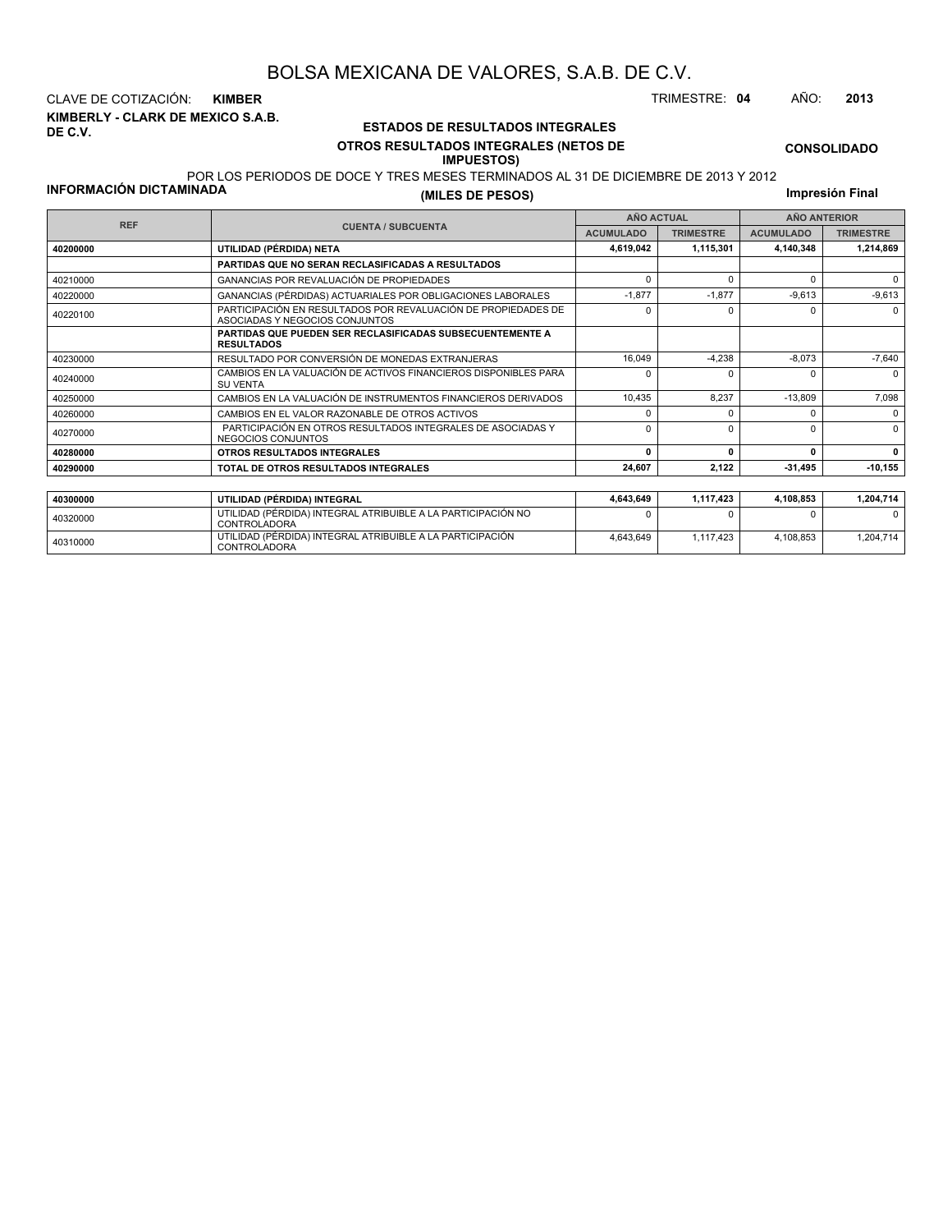**KIMBERLY - CLARK DE MEXICO S.A.B. DE C.V.** CLAVE DE COTIZACIÓN: **KIMBER** TRIMESTRE: **04** AÑO: **2013**

#### **ESTADOS DE RESULTADOS INTEGRALES OTROS RESULTADOS INTEGRALES (NETOS DE IMPUESTOS)**

4,643,649 1,117,423 4,108,853 1,204,714

**CONSOLIDADO**

#### POR LOS PERIODOS DE DOCE Y TRES MESES TERMINADOS AL 31 DE DICIEMBRE DE 2013 Y 2012

<sup>40310000</sup> UTILIDAD (PÉRDIDA) INTEGRAL ATRIBUIBLE A LA PARTICIPACIÓN CONTROLADORA

**INFORMACIÓN DICTAMINADA**

**(MILES DE PESOS)**

|            | <b>CUENTA / SUBCUENTA</b><br>UTILIDAD (PÉRDIDA) NETA<br>PARTIDAS QUE NO SERAN RECLASIFICADAS A RESULTADOS<br>GANANCIAS POR REVALUACIÓN DE PROPIEDADES<br>ASOCIADAS Y NEGOCIOS CONJUNTOS<br><b>RESULTADOS</b><br>RESULTADO POR CONVERSIÓN DE MONEDAS EXTRANJERAS<br><b>SU VENTA</b><br>CAMBIOS EN EL VALOR RAZONABLE DE OTROS ACTIVOS<br>NEGOCIOS CONJUNTOS<br>OTROS RESULTADOS INTEGRALES<br>TOTAL DE OTROS RESULTADOS INTEGRALES |                                                            | <b>AÑO ACTUAL</b> | <b>AÑO ANTERIOR</b>                                                            |                  |  |  |
|------------|-----------------------------------------------------------------------------------------------------------------------------------------------------------------------------------------------------------------------------------------------------------------------------------------------------------------------------------------------------------------------------------------------------------------------------------|------------------------------------------------------------|-------------------|--------------------------------------------------------------------------------|------------------|--|--|
| <b>REF</b> |                                                                                                                                                                                                                                                                                                                                                                                                                                   | <b>ACUMULADO</b>                                           | <b>TRIMESTRE</b>  | <b>ACUMULADO</b><br>$\Omega$<br>$\Omega$<br>0<br><sup>0</sup><br>$\Omega$<br>0 | <b>TRIMESTRE</b> |  |  |
| 40200000   |                                                                                                                                                                                                                                                                                                                                                                                                                                   | 4,619,042                                                  | 1,115,301         | 4,140,348                                                                      | 1,214,869        |  |  |
|            |                                                                                                                                                                                                                                                                                                                                                                                                                                   |                                                            |                   |                                                                                |                  |  |  |
| 40210000   |                                                                                                                                                                                                                                                                                                                                                                                                                                   | $\Omega$                                                   |                   |                                                                                | $\Omega$         |  |  |
| 40220000   | GANANCIAS (PÉRDIDAS) ACTUARIALES POR OBLIGACIONES LABORALES                                                                                                                                                                                                                                                                                                                                                                       | $-1,877$                                                   | $-1,877$          | $-9,613$                                                                       | $-9,613$         |  |  |
| 40220100   | PARTICIPACIÓN EN RESULTADOS POR REVALUACIÓN DE PROPIEDADES DE                                                                                                                                                                                                                                                                                                                                                                     | n                                                          |                   |                                                                                | $\Omega$         |  |  |
|            | <b>PARTIDAS QUE PUEDEN SER RECLASIFICADAS SUBSECUENTEMENTE A</b>                                                                                                                                                                                                                                                                                                                                                                  |                                                            |                   |                                                                                |                  |  |  |
| 40230000   |                                                                                                                                                                                                                                                                                                                                                                                                                                   | 16,049                                                     | $-4,238$          | $-8,073$                                                                       | $-7,640$         |  |  |
| 40240000   | CAMBIOS EN LA VALUACIÓN DE ACTIVOS FINANCIEROS DISPONIBLES PARA                                                                                                                                                                                                                                                                                                                                                                   | n                                                          |                   |                                                                                | $\Omega$         |  |  |
| 40250000   | CAMBIOS EN LA VALUACIÓN DE INSTRUMENTOS FINANCIEROS DERIVADOS                                                                                                                                                                                                                                                                                                                                                                     | 10.435                                                     | 8.237             | $-13.809$                                                                      | 7,098            |  |  |
| 40260000   |                                                                                                                                                                                                                                                                                                                                                                                                                                   | n                                                          |                   |                                                                                | 0                |  |  |
| 40270000   | PARTICIPACIÓN EN OTROS RESULTADOS INTEGRALES DE ASOCIADAS Y                                                                                                                                                                                                                                                                                                                                                                       | $\Omega$                                                   |                   |                                                                                | $\Omega$         |  |  |
| 40280000   |                                                                                                                                                                                                                                                                                                                                                                                                                                   | 0<br>$\Omega$<br>24,607<br>2,122<br>1,117,423<br>4,643,649 |                   | $\Omega$                                                                       |                  |  |  |
| 40290000   |                                                                                                                                                                                                                                                                                                                                                                                                                                   |                                                            |                   | $-31,495$                                                                      | $-10, 155$       |  |  |
|            |                                                                                                                                                                                                                                                                                                                                                                                                                                   |                                                            |                   |                                                                                |                  |  |  |
| 40300000   | UTILIDAD (PÉRDIDA) INTEGRAL                                                                                                                                                                                                                                                                                                                                                                                                       |                                                            |                   | 4,108,853                                                                      | 1,204,714        |  |  |
| 40320000   | UTILIDAD (PÉRDIDA) INTEGRAL ATRIBUIBLE A LA PARTICIPACIÓN NO<br><b>CONTROLADORA</b>                                                                                                                                                                                                                                                                                                                                               |                                                            |                   |                                                                                | <sup>0</sup>     |  |  |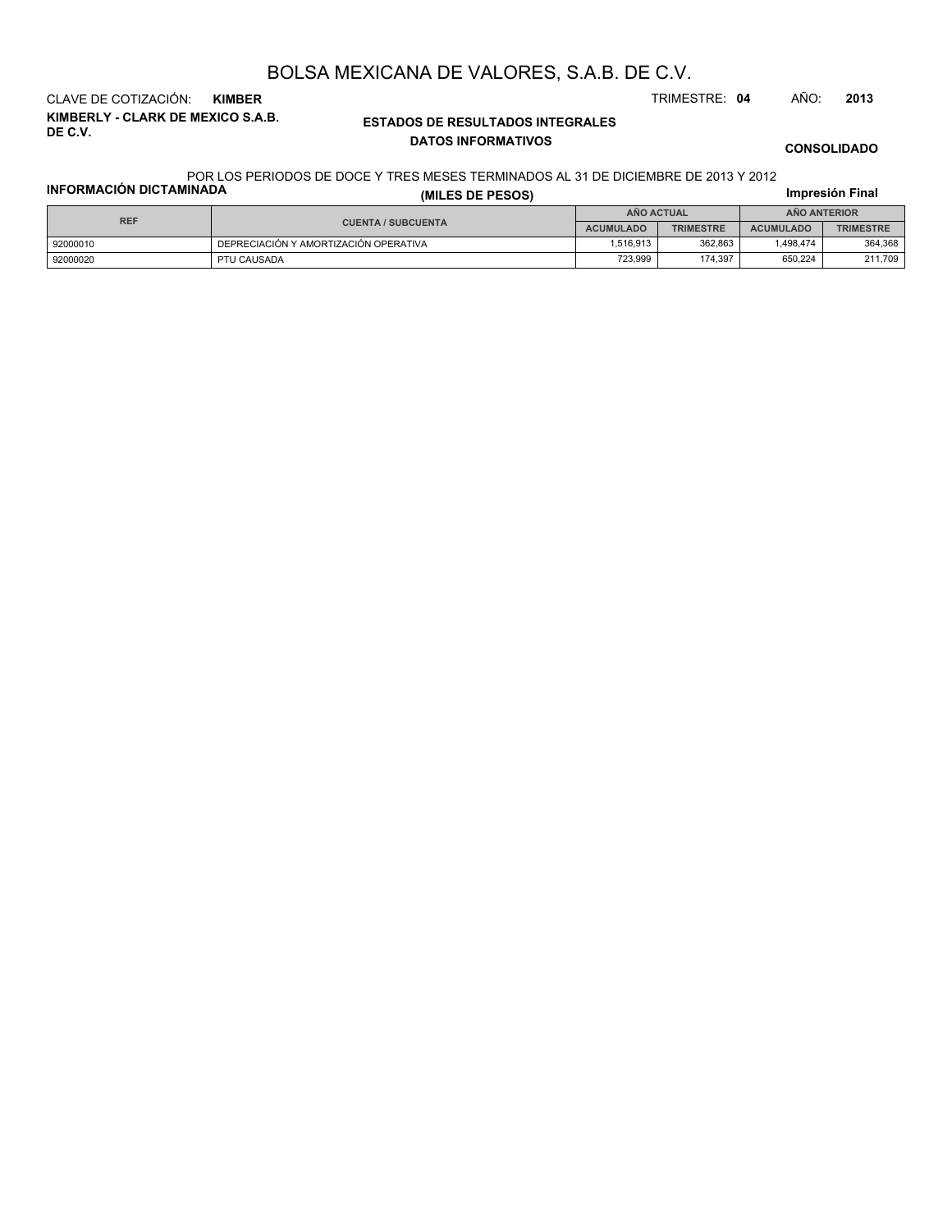**KIMBERLY - CLARK DE MEXICO S.A.B. DE C.V.** CLAVE DE COTIZACIÓN: **KIMBER** TRIMESTRE: **04** AÑO: **2013**

#### **ESTADOS DE RESULTADOS INTEGRALES DATOS INFORMATIVOS**

**CONSOLIDADO**

#### **INFORMACIÓN DICTAMINADA** POR LOS PERIODOS DE DOCE Y TRES MESES TERMINADOS AL 31 DE DICIEMBRE DE 2013 Y 2012

| <b>INFORMACIÓN DICTAMINADA</b> | (MILES DE PESOS)                      |                  |                  |                  | Impresión Final  |  |
|--------------------------------|---------------------------------------|------------------|------------------|------------------|------------------|--|
| <b>REF</b>                     |                                       | AÑO ACTUAL       |                  | AÑO ANTERIOR     |                  |  |
|                                | <b>CUENTA / SUBCUENTA</b>             | <b>ACUMULADO</b> | <b>TRIMESTRE</b> | <b>ACUMULADO</b> | <b>TRIMESTRE</b> |  |
| 92000010                       | DEPRECIACIÓN Y AMORTIZACIÓN OPERATIVA | 1.516.913        | 362.863          | 1.498.474        | 364.368          |  |
| 92000020                       | PTU CAUSADA                           | 723.999          | 174.397          | 650.224          | 211,709          |  |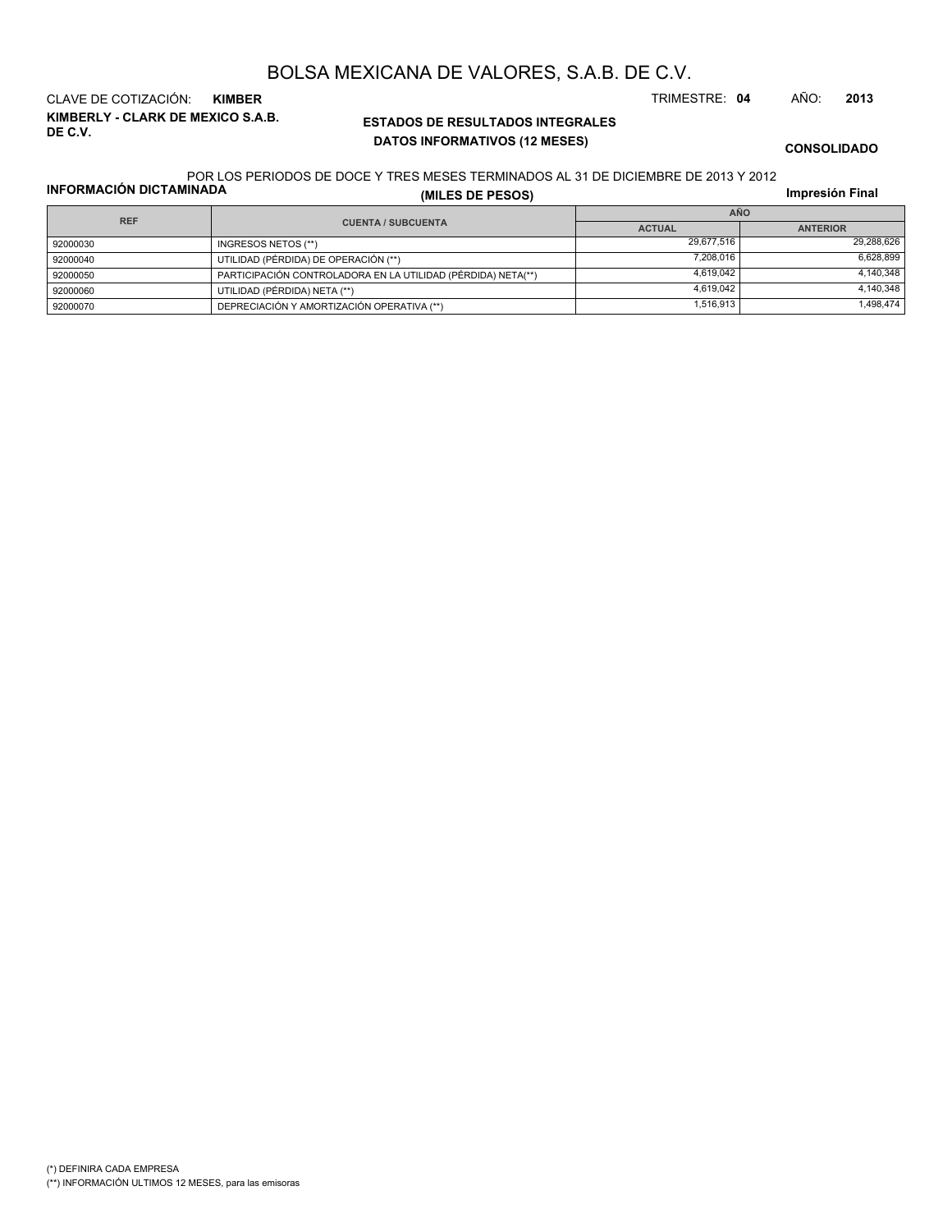**KIMBERLY - CLARK DE MEXICO S.A.B. DE C.V.** CLAVE DE COTIZACIÓN: **KIMBER** TRIMESTRE: **04** AÑO: **2013**

#### **ESTADOS DE RESULTADOS INTEGRALES DATOS INFORMATIVOS (12 MESES)**

**CONSOLIDADO**

#### POR LOS PERIODOS DE DOCE Y TRES MESES TERMINADOS AL 31 DE DICIEMBRE DE 2013 Y 2012

**INFORMACIÓN DICTAMINADA**

**(MILES DE PESOS)**

| <b>REF</b> |                                                              | AÑO           |                 |  |  |  |
|------------|--------------------------------------------------------------|---------------|-----------------|--|--|--|
|            | <b>CUENTA / SUBCUENTA</b>                                    | <b>ACTUAL</b> | <b>ANTERIOR</b> |  |  |  |
| 92000030   | INGRESOS NETOS (**)                                          | 29,677,516    | 29,288,626      |  |  |  |
| 92000040   | UTILIDAD (PÉRDIDA) DE OPERACIÓN (**)                         | 7.208.016     | 6.628.899       |  |  |  |
| 92000050   | PARTICIPACIÓN CONTROLADORA EN LA UTILIDAD (PÉRDIDA) NETA(**) | 4.619.042     | 4.140.348       |  |  |  |
| 92000060   | UTILIDAD (PÉRDIDA) NETA (**)                                 | 4.619.042     | 4.140.348       |  |  |  |
| 92000070   | DEPRECIACIÓN Y AMORTIZACIÓN OPERATIVA (**)                   | 1,516,913     | 498,474         |  |  |  |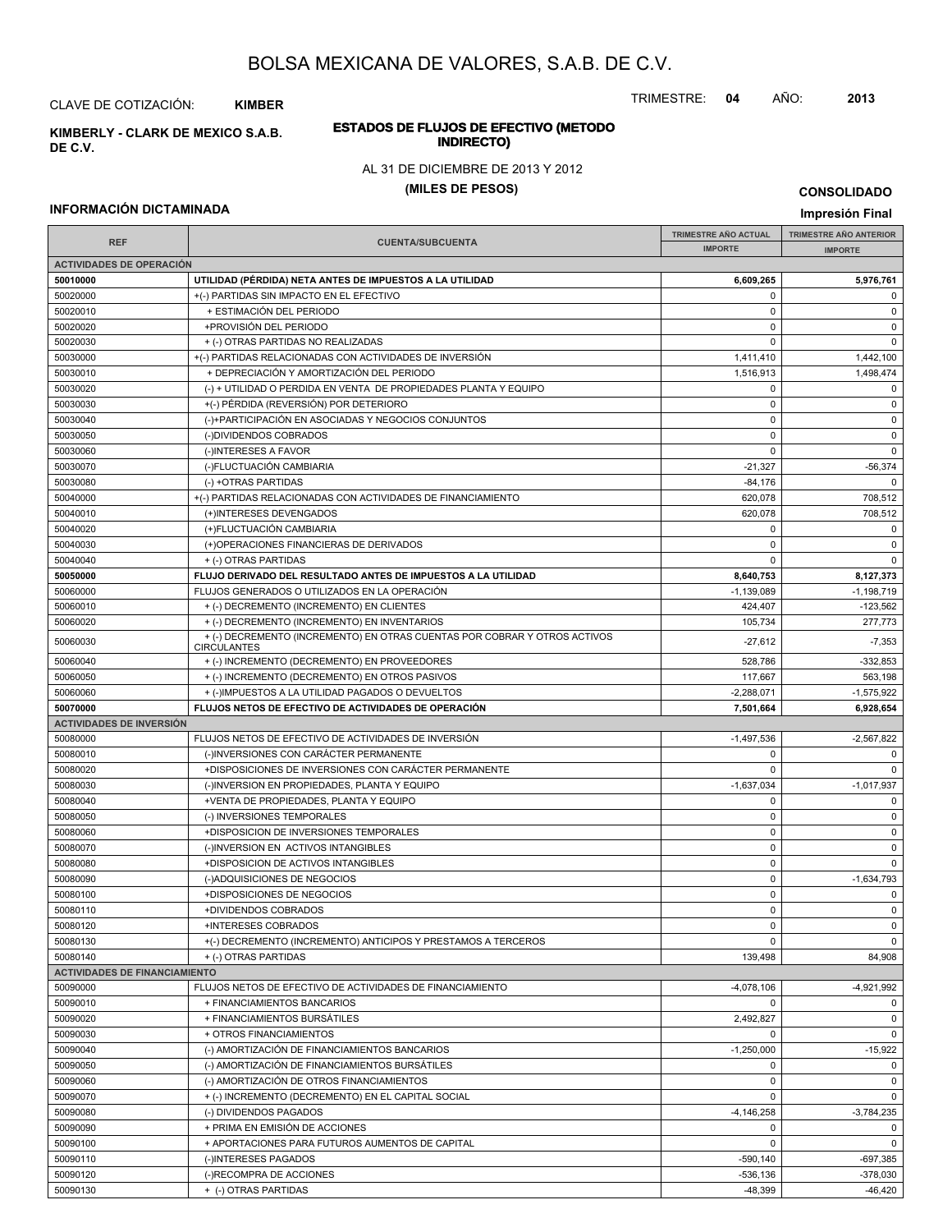TRIMESTRE: **04** AÑO: **2013**

#### **ESTADOS DE FLUJOS DE EFECTIVO (METODO INDIRECTO) KIMBERLY - CLARK DE MEXICO S.A.B.**

#### AL 31 DE DICIEMBRE DE 2013 Y 2012

#### **(MILES DE PESOS)**

#### **INFORMACIÓN DICTAMINADA**

CLAVE DE COTIZACIÓN: **KIMBER**

**DE C.V.**

**IMPRESIÓN FINAL AND SUBCUENTA**<br> **IMPORTE TRIMESTRE AÑO ACTUAL IMPORTE IMPORTE REF TRIMESTRE AÑO ANTERIOR IMPORTE ACTIVIDADES DE OPERACIÓN 50010000 UTILIDAD (PÉRDIDA) NETA ANTES DE IMPUESTOS A LA UTILIDAD 6,609,265 5,976,761** 50020000 +(-) PARTIDAS SIN IMPACTO EN EL EFECTIVO 0 0 50020010 + ESTIMACIÓN DEL PERIODO 0 0 50020020 +PROVISIÓN DEL PERIODO 0 0 50020030 + (-) OTRAS PARTIDAS NO REALIZADAS 0 0 50030000 + +(-) PARTIDAS RELACIONADAS CON ACTIVIDADES DE INVERSIÓN 1,411,410 1,411,410 1,442,100 50030010 + DEPRECIACIÓN Y AMORTIZACIÓN DEL PERIODO 1,516,913 1,498,474 50030020 (-) + UTILIDAD O PERDIDA EN VENTA DE PROPIEDADES PLANTA Y EQUIPO 0 0 50030030 +(-) PÉRDIDA (REVERSIÓN) POR DETERIORO 0 0 50030040 (-)+PARTICIPACIÓN EN ASOCIADAS Y NEGOCIOS CONJUNTOS 0 0 50030050 (-)DIVIDENDOS COBRADOS 0 0 50030060 (-)INTERESES A FAVOR 0 0 50030070 (-)FLUCTUACIÓN CAMBIARIA -21,327 -56,374 50030080 (-) +OTRAS PARTIDAS -84,176 0 50040000 + (-) PARTIDAS RELACIONADAS CON ACTIVIDADES DE FINANCIAMIENTO 620,078 620,078 708,512 50040010 (+)INTERESES DEVENGADOS 620,078 708,512 50040020 (+)FLUCTUACIÓN CAMBIARIA 0 0 50040030 (+)OPERACIONES FINANCIERAS DE DERIVADOS 0 0 50040040 + (-) OTRAS PARTIDAS 0 0 **50050000 FLUJO DERIVADO DEL RESULTADO ANTES DE IMPUESTOS A LA UTILIDAD 8,640,753 8,127,373** 50060000 FLUJOS GENERADOS O UTILIZADOS EN LA OPERACIÓN -1,139,089 -1,139,089 -1,139,119 -1,198,719 50060010 + (-) DECREMENTO (INCREMENTO) EN CLIENTES 424,407 -123,562 50060020 + (-) DECREMENTO (INCREMENTO) EN INVENTARIOS 105,734 277,773  $^{+}$  (-) DECREMENTO (INCREMENTO) EN OTRAS CUENTAS POR COBRAR Y OTROS ACTIVOS -27,612 -27,612 -7,353 **CIRCULANTES** 50060040 + (-) INCREMENTO (DECREMENTO) EN PROVEEDORES 528,786 -332,853 50060050 + (-) INCREMENTO (DECREMENTO) EN OTROS PASIVOS 117,667 563,198 50060060 + (-)IMPUESTOS A LA UTILIDAD PAGADOS O DEVUELTOS -2,288,071 -1,575,922 **50070000 FLUJOS NETOS DE EFECTIVO DE ACTIVIDADES DE OPERACIÓN 7,501,664 6,928,654 ACTIVIDADES DE INVERSIÓN** 50080000 FLUJOS NETOS DE EFECTIVO DE ACTIVIDADES DE INVERSIÓN CONTENTENTE EN EL EL EL EL EL EL EL EL EL EL EL E 50080010 (-)INVERSIONES CON CARÁCTER PERMANENTE 0 0 50080020 +DISPOSICIONES DE INVERSIONES CON CARÁCTER PERMANENTE 0 0 50080030 (-)INVERSION EN PROPIEDADES, PLANTA Y EQUIPO -1,637,034 -1,637,034 -1,637,034 -1,017,937 50080040 +VENTA DE PROPIEDADES, PLANTA Y EQUIPO 0 0 50080050 (-) INVERSIONES TEMPORALES 0 0 50080060 +DISPOSICION DE INVERSIONES TEMPORALES 0 0 50080070 (-)INVERSION EN ACTIVOS INTANGIBLES 0 0 50080080 +DISPOSICION DE ACTIVOS INTANGIBLES 0 0 50080090 (-)ADQUISICIONES DE NEGOCIOS 0 -1,634,793 50080100 +DISPOSICIONES DE NEGOCIOS 0 0 50080110 +DIVIDENDOS COBRADOS 0 0 50080120 +INTERESES COBRADOS 0 0 50080130 +(-) DECREMENTO (INCREMENTO) ANTICIPOS Y PRESTAMOS A TERCEROS 0 0 50080140 + (-) OTRAS PARTIDAS 49,908 84,908 **ACTIVIDADES DE FINANCIAMIENTO** 50090000 FLUJOS NETOS DE EFECTIVO DE ACTIVIDADES DE FINANCIAMIENTO AND ACTENDENTO ACTENDADES DE FINANCIAMIENTO 50090010 + FINANCIAMIENTOS BANCARIOS 0 0 50090020 + FINANCIAMIENTOS BURSÁTILES 2,492,827 0 50090030 + OTROS FINANCIAMIENTOS 0 0 50090040 (-) AMORTIZACIÓN DE FINANCIAMIENTOS BANCARIOS -1,250,000 -1,250,000 -1,250,000 -15,922 50090050 (-) AMORTIZACIÓN DE FINANCIAMIENTOS BURSÁTILES 0 0 50090060 (-) AMORTIZACIÓN DE OTROS FINANCIAMIENTOS 0 0 50090070 + (-) INCREMENTO (DECREMENTO) EN EL CAPITAL SOCIAL 0 0 50090080 (-) DIVIDENDOS PAGADOS -4,146,258 -3,784,235 50090090 + PRIMA EN EMISIÓN DE ACCIONES de la componentación de la componentación de la componentación de la c 50090100 + APORTACIONES PARA FUTUROS AUMENTOS DE CAPITAL 0 0 50090110 | (-)INTERESES PAGADOS -590,140 | -697,385 50090120 (-)RECOMPRA DE ACCIONES -536,136 -378,030

50090130 + (-) OTRAS PARTIDAS -48,399 -46,420

**CONSOLIDADO**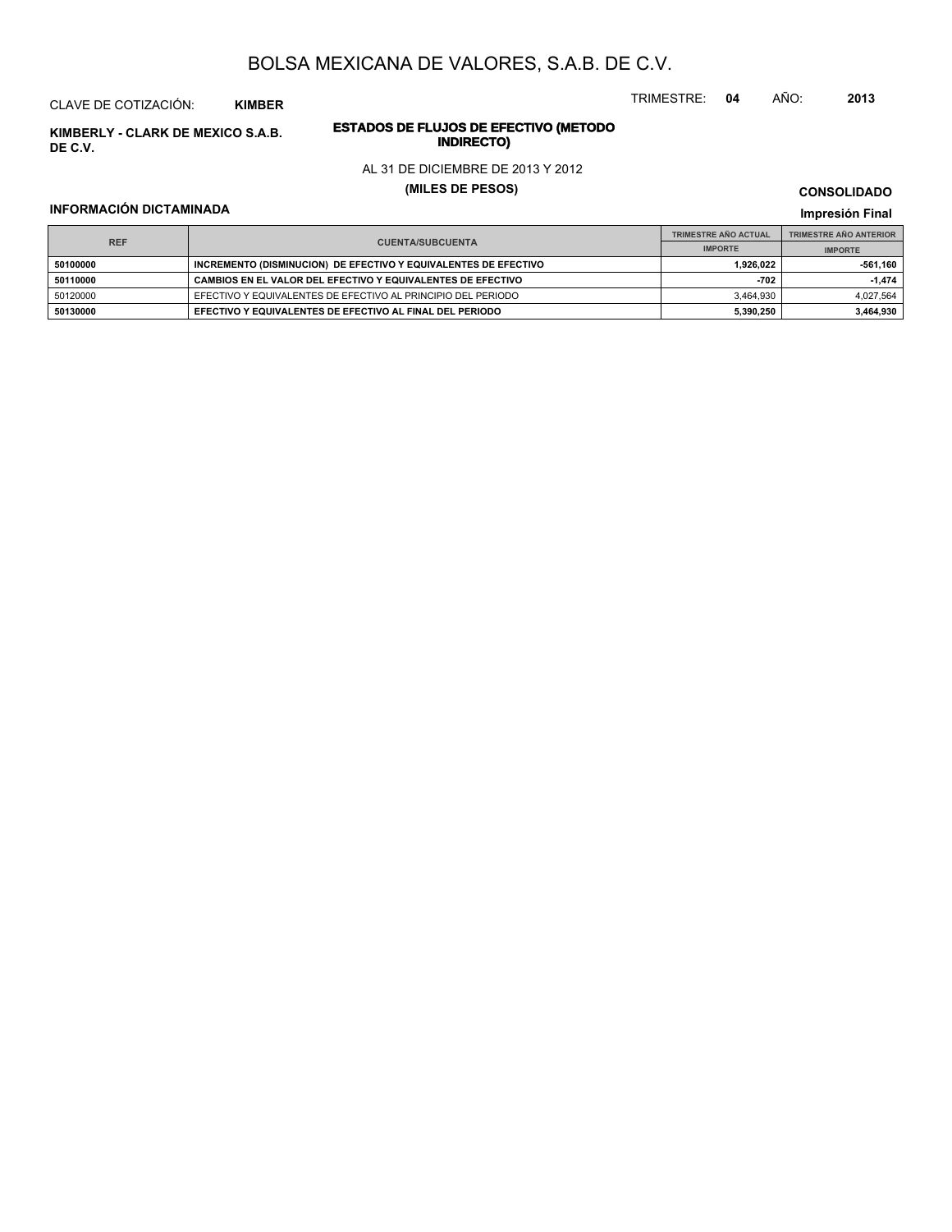CLAVE DE COTIZACIÓN: **KIMBER**

**INDIRECTO) KIMBERLY - CLARK DE MEXICO S.A.B. DE C.V.**

# **ESTADOS DE FLUJOS DE EFECTIVO (METODO**

AL 31 DE DICIEMBRE DE 2013 Y 2012

**(MILES DE PESOS)**

#### **INFORMACIÓN DICTAMINADA**

**CONSOLIDADO**

TRIMESTRE: **04** AÑO: **2013**

|                                       |                                                                 | <b>TRIMESTRE AÑO ACTUAL</b> | <b>TRIMESTRE AÑO ANTERIOR</b> |
|---------------------------------------|-----------------------------------------------------------------|-----------------------------|-------------------------------|
| <b>REF</b><br><b>CUENTA/SUBCUENTA</b> |                                                                 | <b>IMPORTE</b>              | <b>IMPORTE</b>                |
| 50100000                              | INCREMENTO (DISMINUCION) DE EFECTIVO Y EQUIVALENTES DE EFECTIVO | 1,926,022                   | 561,160                       |
| 50110000                              | CAMBIOS EN EL VALOR DEL EFECTIVO Y EQUIVALENTES DE EFECTIVO     | $-702$                      | $-1.474$                      |
| 50120000                              | EFECTIVO Y EQUIVALENTES DE EFECTIVO AL PRINCIPIO DEL PERIODO    | 3.464.930                   | 4,027,564                     |
| 50130000                              | EFECTIVO Y EQUIVALENTES DE EFECTIVO AL FINAL DEL PERIODO        | 5,390,250                   | 3,464,930                     |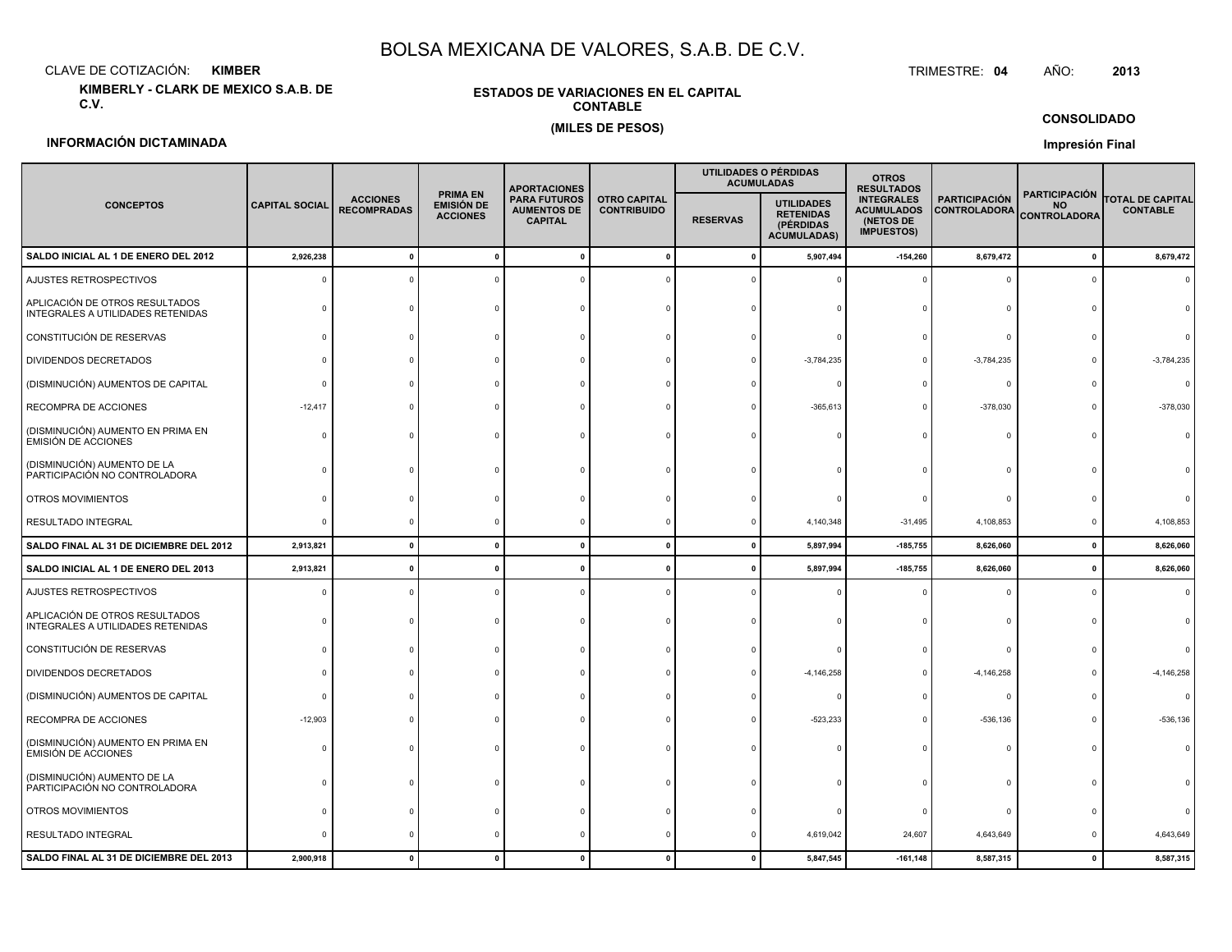CLAVE DE COTIZACIÓN:**KIMBER**: KIMBER TRIMESTRE:

**KIMBERLY - CLARK DE MEXICO S.A.B. DE C.V.**

#### **ESTADOS DE VARIACIONES EN EL CAPITALCONTABLE(MILES DE PESOS)**

TRIMESTRE: 04 AÑO: **<sup>2013</sup>**

#### **CONSOLIDADO**

#### **INFORMACIÓN DICTAMINADA**

|                                                                     |                       |                                       |                                                         | <b>APORTACIONES</b>                                         |                                           | <b>ACUMULADAS</b> | UTILIDADES O PÉRDIDAS                                                    | <b>OTROS</b><br><b>RESULTADOS</b>                                        |                                             |                                                          |                                            |  |
|---------------------------------------------------------------------|-----------------------|---------------------------------------|---------------------------------------------------------|-------------------------------------------------------------|-------------------------------------------|-------------------|--------------------------------------------------------------------------|--------------------------------------------------------------------------|---------------------------------------------|----------------------------------------------------------|--------------------------------------------|--|
| <b>CONCEPTOS</b>                                                    | <b>CAPITAL SOCIAL</b> | <b>ACCIONES</b><br><b>RECOMPRADAS</b> | <b>PRIMA EN</b><br><b>EMISIÓN DE</b><br><b>ACCIONES</b> | <b>PARA FUTUROS</b><br><b>AUMENTOS DE</b><br><b>CAPITAL</b> | <b>OTRO CAPITAL</b><br><b>CONTRIBUIDO</b> | <b>RESERVAS</b>   | <b>UTILIDADES</b><br><b>RETENIDAS</b><br>(PÉRDIDAS<br><b>ACUMULADAS)</b> | <b>INTEGRALES</b><br><b>ACUMULADOS</b><br>(NETOS DE<br><b>IMPUESTOS)</b> | <b>PARTICIPACIÓN</b><br><b>CONTROLADORA</b> | <b>PARTICIPACIÓN</b><br><b>NO</b><br><b>CONTROLADORA</b> | <b>TOTAL DE CAPITAL</b><br><b>CONTABLE</b> |  |
| SALDO INICIAL AL 1 DE ENERO DEL 2012                                | 2,926,238             | $\mathbf{0}$                          | $\mathbf{0}$                                            | $\mathbf{0}$                                                | $\mathbf{0}$                              | $\mathbf{0}$      | 5,907,494                                                                | $-154,260$                                                               | 8,679,472                                   | 0                                                        | 8,679,472                                  |  |
| AJUSTES RETROSPECTIVOS                                              |                       | $\Omega$                              |                                                         |                                                             |                                           |                   |                                                                          |                                                                          |                                             |                                                          |                                            |  |
| APLICACIÓN DE OTROS RESULTADOS<br>INTEGRALES A UTILIDADES RETENIDAS | $\Omega$              | $\Omega$                              | $\Omega$                                                | $\Omega$                                                    |                                           |                   |                                                                          |                                                                          |                                             |                                                          |                                            |  |
| CONSTITUCIÓN DE RESERVAS                                            | $\Omega$              |                                       |                                                         |                                                             |                                           |                   |                                                                          |                                                                          |                                             |                                                          |                                            |  |
| DIVIDENDOS DECRETADOS                                               |                       |                                       |                                                         |                                                             |                                           |                   | $-3,784,235$                                                             |                                                                          | $-3,784,235$                                |                                                          | $-3,784,235$                               |  |
| (DISMINUCIÓN) AUMENTOS DE CAPITAL                                   | $\Omega$              |                                       |                                                         |                                                             |                                           |                   |                                                                          |                                                                          |                                             |                                                          | $\Omega$                                   |  |
| RECOMPRA DE ACCIONES                                                | $-12,417$             |                                       |                                                         |                                                             |                                           |                   | $-365,613$                                                               |                                                                          | $-378,030$                                  |                                                          | $-378,030$                                 |  |
| (DISMINUCIÓN) AUMENTO EN PRIMA EN<br>EMISIÓN DE ACCIONES            | $\Omega$              |                                       |                                                         |                                                             |                                           |                   |                                                                          |                                                                          |                                             |                                                          |                                            |  |
| (DISMINUCIÓN) AUMENTO DE LA<br>PARTICIPACIÓN NO CONTROLADORA        |                       |                                       |                                                         |                                                             |                                           |                   |                                                                          |                                                                          |                                             |                                                          |                                            |  |
| OTROS MOVIMIENTOS                                                   |                       |                                       |                                                         |                                                             |                                           |                   |                                                                          |                                                                          |                                             |                                                          |                                            |  |
| RESULTADO INTEGRAL                                                  | $\Omega$              | $^{\circ}$                            | $\mathbf 0$                                             | $\Omega$                                                    | $\Omega$                                  | $\Omega$          | 4,140,348                                                                | $-31,495$                                                                | 4,108,853                                   |                                                          | 4,108,853                                  |  |
| SALDO FINAL AL 31 DE DICIEMBRE DEL 2012                             | 2,913,821             | $\mathbf{0}$                          | $\mathbf{0}$                                            | $\mathbf{0}$                                                | $\mathbf{0}$                              | $\mathbf{0}$      | 5,897,994                                                                | $-185,755$                                                               | 8,626,060                                   | 0                                                        | 8,626,060                                  |  |
| SALDO INICIAL AL 1 DE ENERO DEL 2013                                | 2,913,821             | $\mathbf{0}$                          | $\mathbf{0}$                                            | $\mathbf{0}$                                                | $\mathbf{0}$                              | $\mathbf{0}$      | 5,897,994                                                                | $-185,755$                                                               | 8,626,060                                   | 0                                                        | 8,626,060                                  |  |
| AJUSTES RETROSPECTIVOS                                              | $\Omega$              | $\Omega$                              | $\Omega$                                                | $\Omega$                                                    | $\Omega$                                  | $\Omega$          |                                                                          |                                                                          |                                             |                                                          |                                            |  |
| APLICACIÓN DE OTROS RESULTADOS<br>INTEGRALES A UTILIDADES RETENIDAS | $\Omega$              | $\Omega$                              | $\Omega$                                                |                                                             |                                           |                   |                                                                          |                                                                          |                                             |                                                          |                                            |  |
| CONSTITUCIÓN DE RESERVAS                                            | $\Omega$              |                                       |                                                         |                                                             |                                           |                   |                                                                          |                                                                          |                                             |                                                          |                                            |  |
| DIVIDENDOS DECRETADOS                                               | $\Omega$              |                                       |                                                         |                                                             |                                           |                   | $-4, 146, 258$                                                           |                                                                          | $-4, 146, 258$                              |                                                          | $-4, 146, 258$                             |  |
| (DISMINUCIÓN) AUMENTOS DE CAPITAL                                   | $\Omega$              |                                       |                                                         |                                                             |                                           |                   |                                                                          |                                                                          |                                             |                                                          |                                            |  |
| RECOMPRA DE ACCIONES                                                | $-12,903$             |                                       |                                                         |                                                             |                                           |                   | $-523,233$                                                               |                                                                          | $-536, 136$                                 |                                                          | $-536, 136$                                |  |
| (DISMINUCIÓN) AUMENTO EN PRIMA EN<br><b>EMISIÓN DE ACCIONES</b>     | $\Omega$              |                                       |                                                         |                                                             |                                           |                   |                                                                          |                                                                          |                                             |                                                          |                                            |  |
| (DISMINUCIÓN) AUMENTO DE LA<br>PARTICIPACIÓN NO CONTROLADORA        | $\Omega$              |                                       |                                                         |                                                             |                                           |                   |                                                                          |                                                                          |                                             |                                                          |                                            |  |
| OTROS MOVIMIENTOS                                                   | n                     |                                       |                                                         |                                                             |                                           |                   |                                                                          |                                                                          |                                             |                                                          |                                            |  |
| RESULTADO INTEGRAL                                                  | $\Omega$              | $^{\circ}$                            | $^{\circ}$                                              | $\Omega$                                                    | $\mathbf 0$                               | $\Omega$          | 4,619,042                                                                | 24,607                                                                   | 4,643,649                                   |                                                          | 4,643,649                                  |  |
| SALDO FINAL AL 31 DE DICIEMBRE DEL 2013                             | 2,900,918             | $\mathbf 0$                           | $\mathbf 0$                                             | $\mathbf{0}$                                                | $\mathbf 0$                               | $\mathbf 0$       | 5,847,545                                                                | $-161,148$                                                               | 8,587,315                                   | $\mathbf 0$                                              | 8,587,315                                  |  |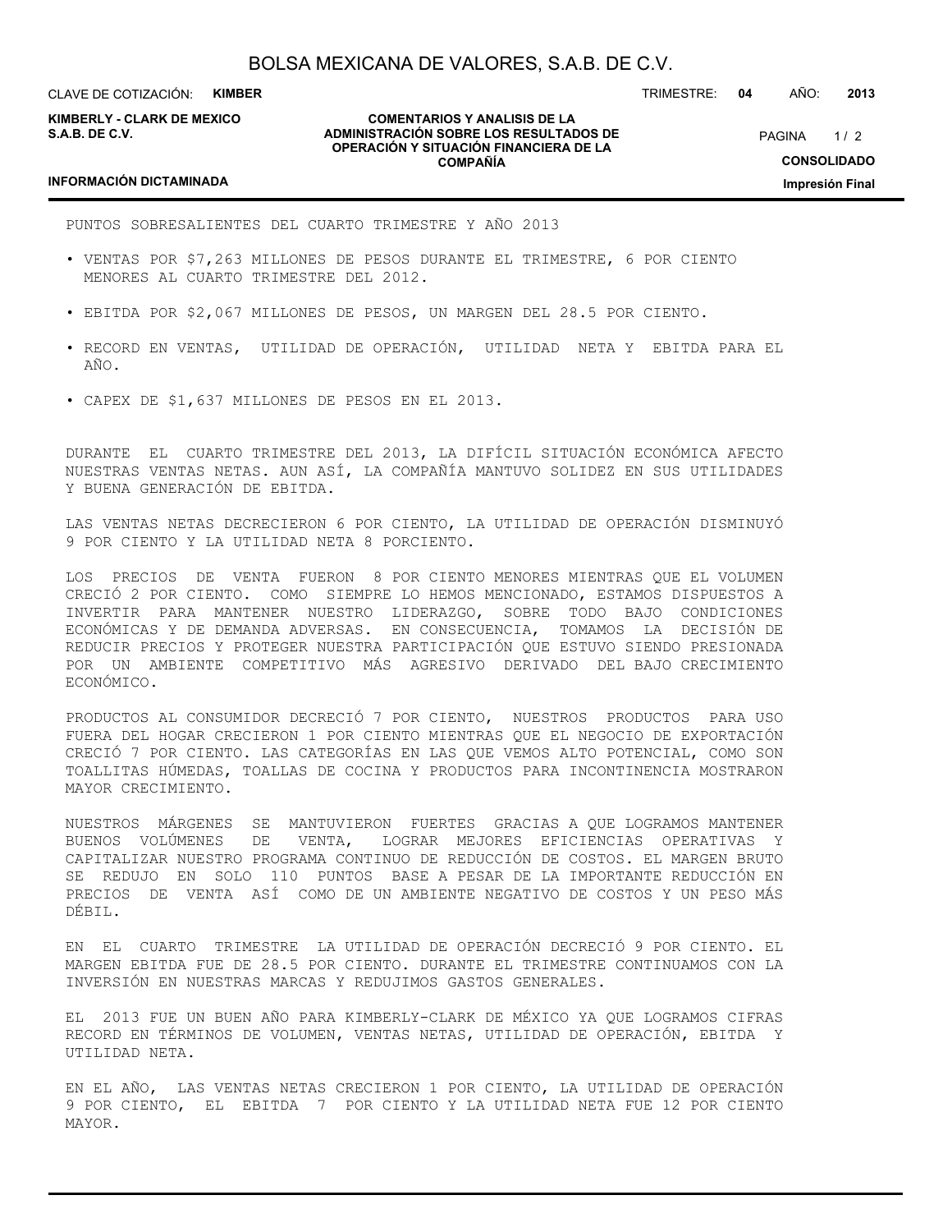CLAVE DE COTIZACIÓN: **KIMBER**

**KIMBERLY - CLARK DE MEXICO S.A.B. DE C.V.**

#### **COMENTARIOS Y ANALISIS DE LA ADMINISTRACIÓN SOBRE LOS RESULTADOS DE OPERACIÓN Y SITUACIÓN FINANCIERA DE LA COMPAÑÍA**

PAGINA 1/2 **CONSOLIDADO**

**Impresión Final**

TRIMESTRE: **04** AÑO: **2013**

#### **INFORMACIÓN DICTAMINADA**

PUNTOS SOBRESALIENTES DEL CUARTO TRIMESTRE Y AÑO 2013

- VENTAS POR \$7,263 MILLONES DE PESOS DURANTE EL TRIMESTRE, 6 POR CIENTO MENORES AL CUARTO TRIMESTRE DEL 2012.
- EBITDA POR \$2,067 MILLONES DE PESOS, UN MARGEN DEL 28.5 POR CIENTO.
- RECORD EN VENTAS, UTILIDAD DE OPERACIÓN, UTILIDAD NETA Y EBITDA PARA EL AÑO.
- CAPEX DE \$1,637 MILLONES DE PESOS EN EL 2013.

DURANTE EL CUARTO TRIMESTRE DEL 2013, LA DIFÍCIL SITUACIÓN ECONÓMICA AFECTO NUESTRAS VENTAS NETAS. AUN ASÍ, LA COMPAÑÍA MANTUVO SOLIDEZ EN SUS UTILIDADES Y BUENA GENERACIÓN DE EBITDA.

LAS VENTAS NETAS DECRECIERON 6 POR CIENTO, LA UTILIDAD DE OPERACIÓN DISMINUYÓ 9 POR CIENTO Y LA UTILIDAD NETA 8 PORCIENTO.

LOS PRECIOS DE VENTA FUERON 8 POR CIENTO MENORES MIENTRAS QUE EL VOLUMEN CRECIÓ 2 POR CIENTO. COMO SIEMPRE LO HEMOS MENCIONADO, ESTAMOS DISPUESTOS A INVERTIR PARA MANTENER NUESTRO LIDERAZGO, SOBRE TODO BAJO CONDICIONES ECONÓMICAS Y DE DEMANDA ADVERSAS. EN CONSECUENCIA, TOMAMOS LA DECISIÓN DE REDUCIR PRECIOS Y PROTEGER NUESTRA PARTICIPACIÓN QUE ESTUVO SIENDO PRESIONADA POR UN AMBIENTE COMPETITIVO MÁS AGRESIVO DERIVADO DEL BAJO CRECIMIENTO ECONÓMICO.

PRODUCTOS AL CONSUMIDOR DECRECIÓ 7 POR CIENTO, NUESTROS PRODUCTOS PARA USO FUERA DEL HOGAR CRECIERON 1 POR CIENTO MIENTRAS QUE EL NEGOCIO DE EXPORTACIÓN CRECIÓ 7 POR CIENTO. LAS CATEGORÍAS EN LAS QUE VEMOS ALTO POTENCIAL, COMO SON TOALLITAS HÚMEDAS, TOALLAS DE COCINA Y PRODUCTOS PARA INCONTINENCIA MOSTRARON MAYOR CRECIMIENTO.

NUESTROS MÁRGENES SE MANTUVIERON FUERTES GRACIAS A QUE LOGRAMOS MANTENER BUENOS VOLÚMENES DE VENTA, LOGRAR MEJORES EFICIENCIAS OPERATIVAS Y CAPITALIZAR NUESTRO PROGRAMA CONTINUO DE REDUCCIÓN DE COSTOS. EL MARGEN BRUTO SE REDUJO EN SOLO 110 PUNTOS BASE A PESAR DE LA IMPORTANTE REDUCCIÓN EN PRECIOS DE VENTA ASÍ COMO DE UN AMBIENTE NEGATIVO DE COSTOS Y UN PESO MÁS DÉBIL.

EN EL CUARTO TRIMESTRE LA UTILIDAD DE OPERACIÓN DECRECIÓ 9 POR CIENTO. EL MARGEN EBITDA FUE DE 28.5 POR CIENTO. DURANTE EL TRIMESTRE CONTINUAMOS CON LA INVERSIÓN EN NUESTRAS MARCAS Y REDUJIMOS GASTOS GENERALES.

EL 2013 FUE UN BUEN AÑO PARA KIMBERLY-CLARK DE MÉXICO YA QUE LOGRAMOS CIFRAS RECORD EN TÉRMINOS DE VOLUMEN, VENTAS NETAS, UTILIDAD DE OPERACIÓN, EBITDA Y UTILIDAD NETA.

EN EL AÑO, LAS VENTAS NETAS CRECIERON 1 POR CIENTO, LA UTILIDAD DE OPERACIÓN 9 POR CIENTO, EL EBITDA 7 POR CIENTO Y LA UTILIDAD NETA FUE 12 POR CIENTO MAYOR.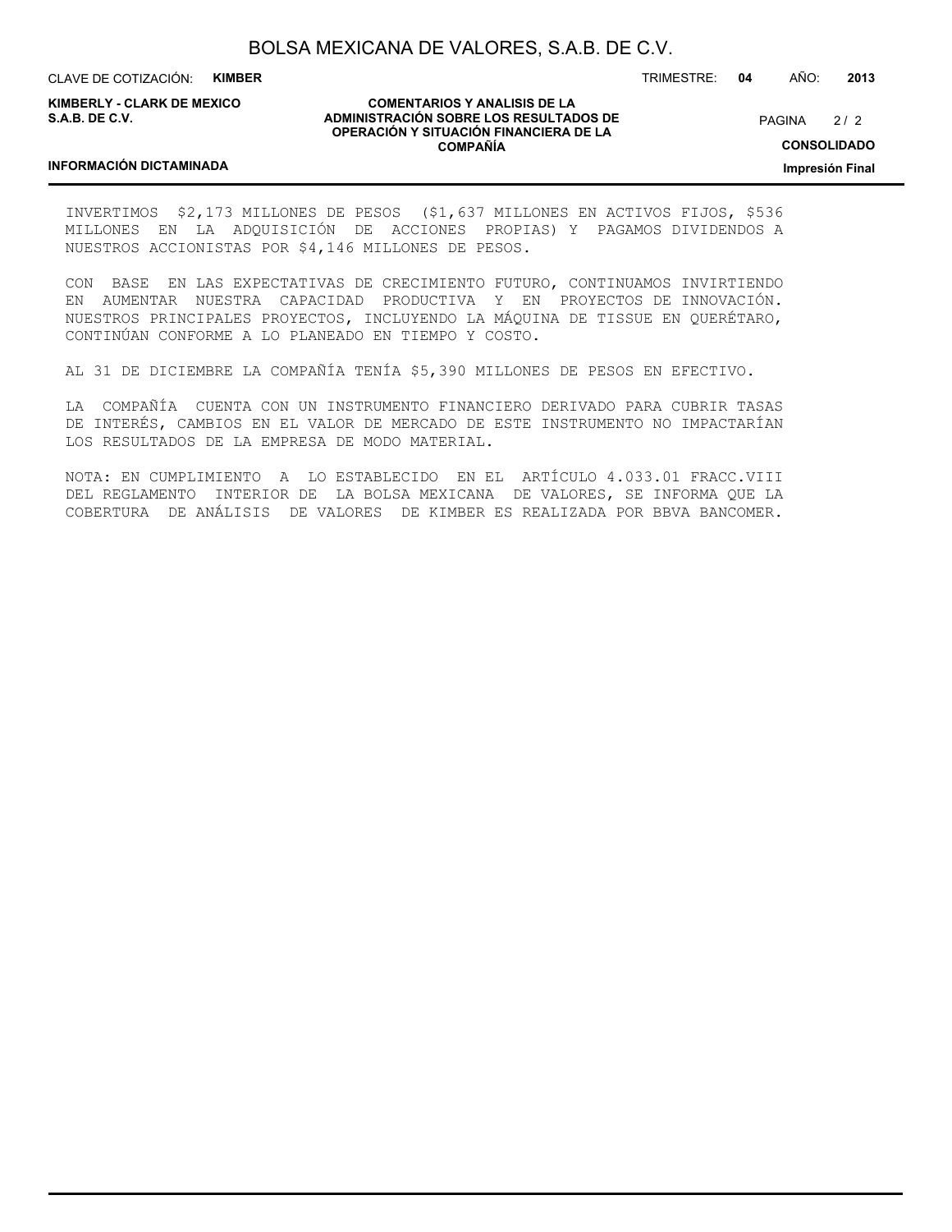CLAVE DE COTIZACIÓN: **KIMBER**

**KIMBERLY - CLARK DE MEXICO S.A.B. DE C.V.**

**COMENTARIOS Y ANALISIS DE LA ADMINISTRACIÓN SOBRE LOS RESULTADOS DE OPERACIÓN Y SITUACIÓN FINANCIERA DE LA COMPAÑÍA**

 $2/2$ PAGINA

**CONSOLIDADO**

**Impresión Final**

#### **INFORMACIÓN DICTAMINADA**

INVERTIMOS \$2,173 MILLONES DE PESOS (\$1,637 MILLONES EN ACTIVOS FIJOS, \$536 MILLONES EN LA ADQUISICIÓN DE ACCIONES PROPIAS) Y PAGAMOS DIVIDENDOS A NUESTROS ACCIONISTAS POR \$4,146 MILLONES DE PESOS.

CON BASE EN LAS EXPECTATIVAS DE CRECIMIENTO FUTURO, CONTINUAMOS INVIRTIENDO EN AUMENTAR NUESTRA CAPACIDAD PRODUCTIVA Y EN PROYECTOS DE INNOVACIÓN. NUESTROS PRINCIPALES PROYECTOS, INCLUYENDO LA MÁQUINA DE TISSUE EN QUERÉTARO, CONTINÚAN CONFORME A LO PLANEADO EN TIEMPO Y COSTO.

AL 31 DE DICIEMBRE LA COMPAÑÍA TENÍA \$5,390 MILLONES DE PESOS EN EFECTIVO.

LA COMPAÑÍA CUENTA CON UN INSTRUMENTO FINANCIERO DERIVADO PARA CUBRIR TASAS DE INTERÉS, CAMBIOS EN EL VALOR DE MERCADO DE ESTE INSTRUMENTO NO IMPACTARÍAN LOS RESULTADOS DE LA EMPRESA DE MODO MATERIAL.

NOTA: EN CUMPLIMIENTO A LO ESTABLECIDO EN EL ARTÍCULO 4.033.01 FRACC.VIII DEL REGLAMENTO INTERIOR DE LA BOLSA MEXICANA DE VALORES, SE INFORMA QUE LA COBERTURA DE ANÁLISIS DE VALORES DE KIMBER ES REALIZADA POR BBVA BANCOMER.

TRIMESTRE: **04** AÑO: **2013**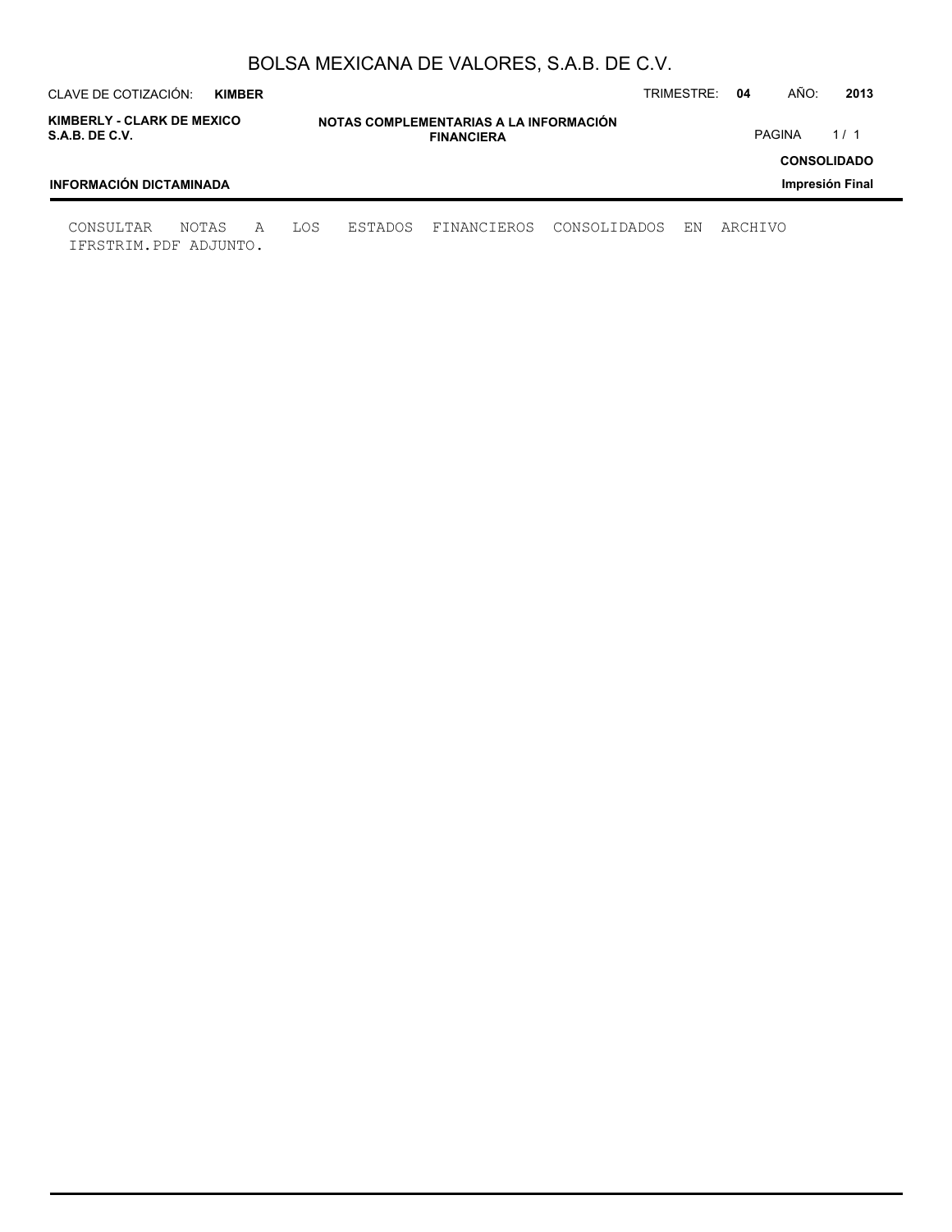| AÑO:<br>CLAVE DE COTIZACIÓN:<br>TRIMESTRE:<br>04<br><b>KIMBER</b> |       |   |     |                                                             |             |              |    |         |                      |  |  |  |
|-------------------------------------------------------------------|-------|---|-----|-------------------------------------------------------------|-------------|--------------|----|---------|----------------------|--|--|--|
| KIMBERLY - CLARK DE MEXICO<br>S.A.B. DE C.V.                      |       |   |     | NOTAS COMPLEMENTARIAS A LA INFORMACIÓN<br><b>FINANCIERA</b> |             |              |    |         | <b>PAGINA</b><br>1/1 |  |  |  |
| <b>CONSOLIDADO</b><br>INFORMACIÓN DICTAMINADA<br>Impresión Final  |       |   |     |                                                             |             |              |    |         |                      |  |  |  |
| CONSULTAR<br>IFRSTRIM.PDF ADJUNTO.                                | NOTAS | A | LOS | ESTADOS                                                     | FINANCIEROS | CONSOLIDADOS | ΕN | ARCHIVO |                      |  |  |  |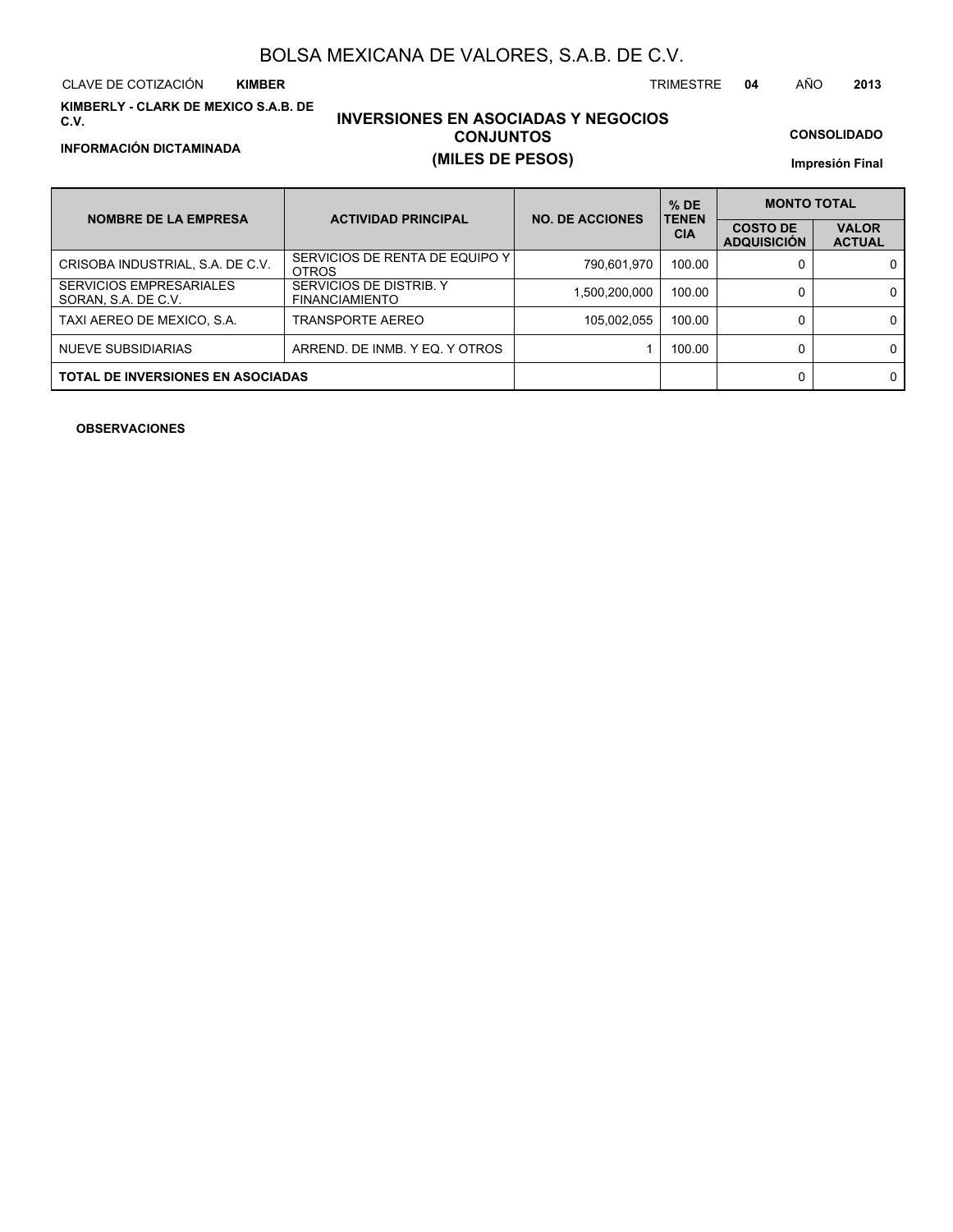**KIMBERLY - CLARK DE MEXICO S.A.B. DE C.V.**

### **INVERSIONES EN ASOCIADAS Y NEGOCIOS CONJUNTOS INFORMACIÓN DICTAMINADA (MILES DE PESOS)**

**CONSOLIDADO**

**Impresión Final**

| <b>NOMBRE DE LA EMPRESA</b>                    | <b>ACTIVIDAD PRINCIPAL</b>                       | <b>NO. DE ACCIONES</b> | $%$ DE<br><b>TENEN</b> | <b>MONTO TOTAL</b>                    |                               |  |
|------------------------------------------------|--------------------------------------------------|------------------------|------------------------|---------------------------------------|-------------------------------|--|
|                                                |                                                  |                        | <b>CIA</b>             | <b>COSTO DE</b><br><b>ADQUISICIÓN</b> | <b>VALOR</b><br><b>ACTUAL</b> |  |
| CRISOBA INDUSTRIAL, S.A. DE C.V.               | SERVICIOS DE RENTA DE EQUIPO Y I<br><b>OTROS</b> | 790.601.970            | 100.00                 |                                       | 0                             |  |
| SERVICIOS EMPRESARIALES<br>SORAN, S.A. DE C.V. | SERVICIOS DE DISTRIB. Y<br><b>FINANCIAMIENTO</b> | 1,500,200,000          | 100.00                 |                                       | $\mathbf{0}$                  |  |
| TAXI AEREO DE MEXICO, S.A.                     | <b>TRANSPORTE AEREO</b>                          | 105,002,055            | 100.00                 |                                       | $\mathbf{0}$                  |  |
| NUEVE SUBSIDIARIAS                             | ARREND. DE INMB. Y EQ. Y OTROS                   |                        | 100.00                 |                                       | $\Omega$                      |  |
| <b>TOTAL DE INVERSIONES EN ASOCIADAS</b>       |                                                  |                        |                        |                                       | $\Omega$                      |  |

**OBSERVACIONES**

CLAVE DE COTIZACIÓN TRIMESTRE **04** AÑO **2013**

**KIMBER**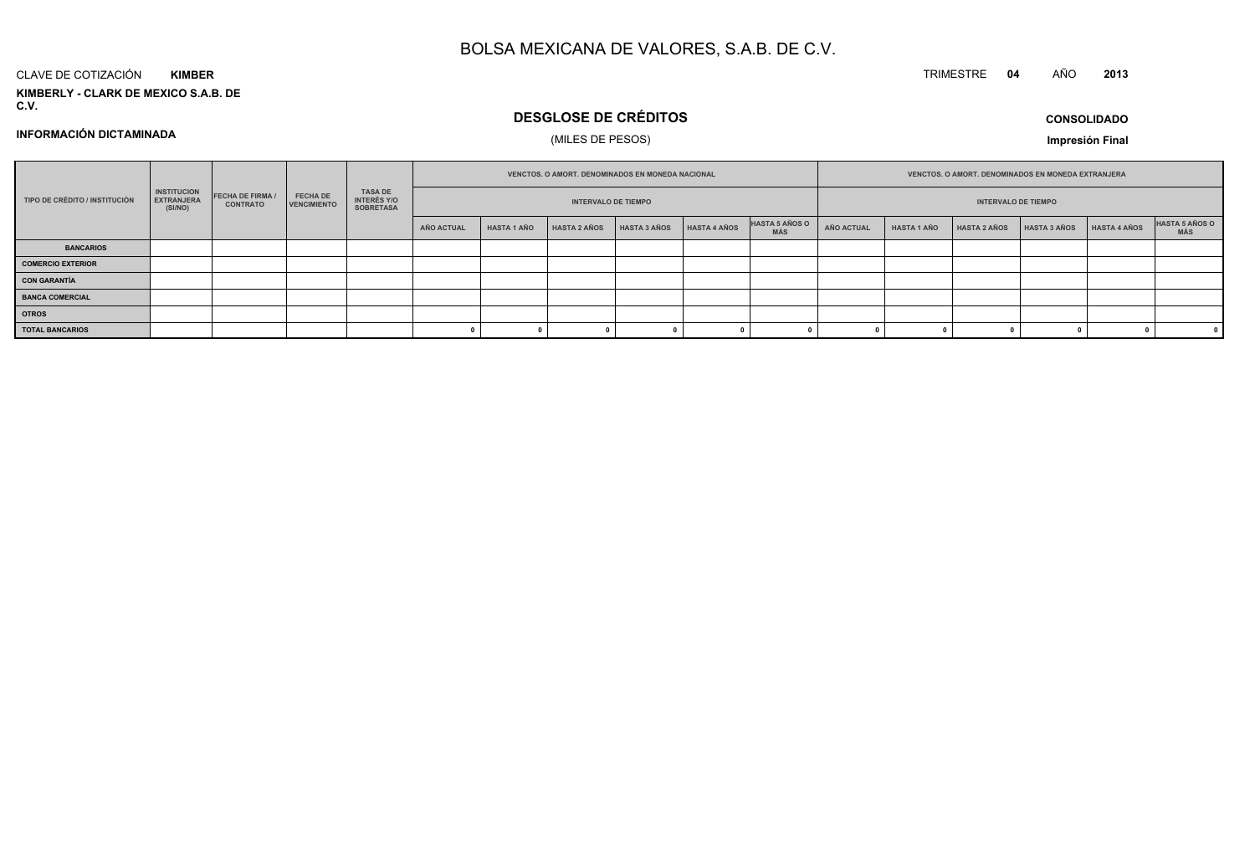#### CLAVE DE COTIZACIÓN**KIMBER**

**KIMBERLY - CLARK DE MEXICO S.A.B. DE C.V.**

### **DESGLOSE DE CRÉDITOS**

### (MILES DE PESOS)

**CONSOLIDADOImpresión Final**

**<sup>2013</sup>**

**INFORMACIÓN DICTAMINADA**

|                               | <b>INSTITUCION</b><br><b>FECHA DE FIRMA /</b><br><b>EXTRANJERA</b><br><b>CONTRATO</b><br>(SI/NO) |  |                                       | VENCTOS. O AMORT. DENOMINADOS EN MONEDA NACIONAL |                            |                    |                     |              |              | VENCTOS, O AMORT, DENOMINADOS EN MONEDA EXTRANJERA |                            |                    |                     |              |              |                       |
|-------------------------------|--------------------------------------------------------------------------------------------------|--|---------------------------------------|--------------------------------------------------|----------------------------|--------------------|---------------------|--------------|--------------|----------------------------------------------------|----------------------------|--------------------|---------------------|--------------|--------------|-----------------------|
| TIPO DE CRÉDITO / INSTITUCIÓN |                                                                                                  |  | <b>FECHA DE</b><br><b>VENCIMIENTO</b> | TASA DE<br>INTERÉS Y/O<br><b>SOBRETASA</b>       | <b>INTERVALO DE TIEMPO</b> |                    |                     |              |              |                                                    | <b>INTERVALO DE TIEMPO</b> |                    |                     |              |              |                       |
|                               |                                                                                                  |  |                                       |                                                  | <b>AÑO ACTUAL</b>          | <b>HASTA 1 AÑO</b> | <b>HASTA 2 AÑOS</b> | HASTA 3 AÑOS | HASTA 4 AÑOS | <b>HASTA 5 AÑOS O</b><br>MÁS                       | AÑO ACTUAL                 | <b>HASTA 1 AÑO</b> | <b>HASTA 2 AÑOS</b> | HASTA 3 AÑOS | HASTA 4 AÑOS | HASTA 5 AÑOS O<br>MÁS |
| <b>BANCARIOS</b>              |                                                                                                  |  |                                       |                                                  |                            |                    |                     |              |              |                                                    |                            |                    |                     |              |              |                       |
| <b>COMERCIO EXTERIOR</b>      |                                                                                                  |  |                                       |                                                  |                            |                    |                     |              |              |                                                    |                            |                    |                     |              |              |                       |
| <b>CON GARANTÍA</b>           |                                                                                                  |  |                                       |                                                  |                            |                    |                     |              |              |                                                    |                            |                    |                     |              |              |                       |
| <b>BANCA COMERCIAL</b>        |                                                                                                  |  |                                       |                                                  |                            |                    |                     |              |              |                                                    |                            |                    |                     |              |              |                       |
| <b>OTROS</b>                  |                                                                                                  |  |                                       |                                                  |                            |                    |                     |              |              |                                                    |                            |                    |                     |              |              |                       |
| <b>TOTAL BANCARIOS</b>        |                                                                                                  |  |                                       |                                                  |                            |                    |                     |              |              |                                                    |                            |                    |                     |              |              |                       |

TRIMESTRE **<sup>04</sup>** AÑO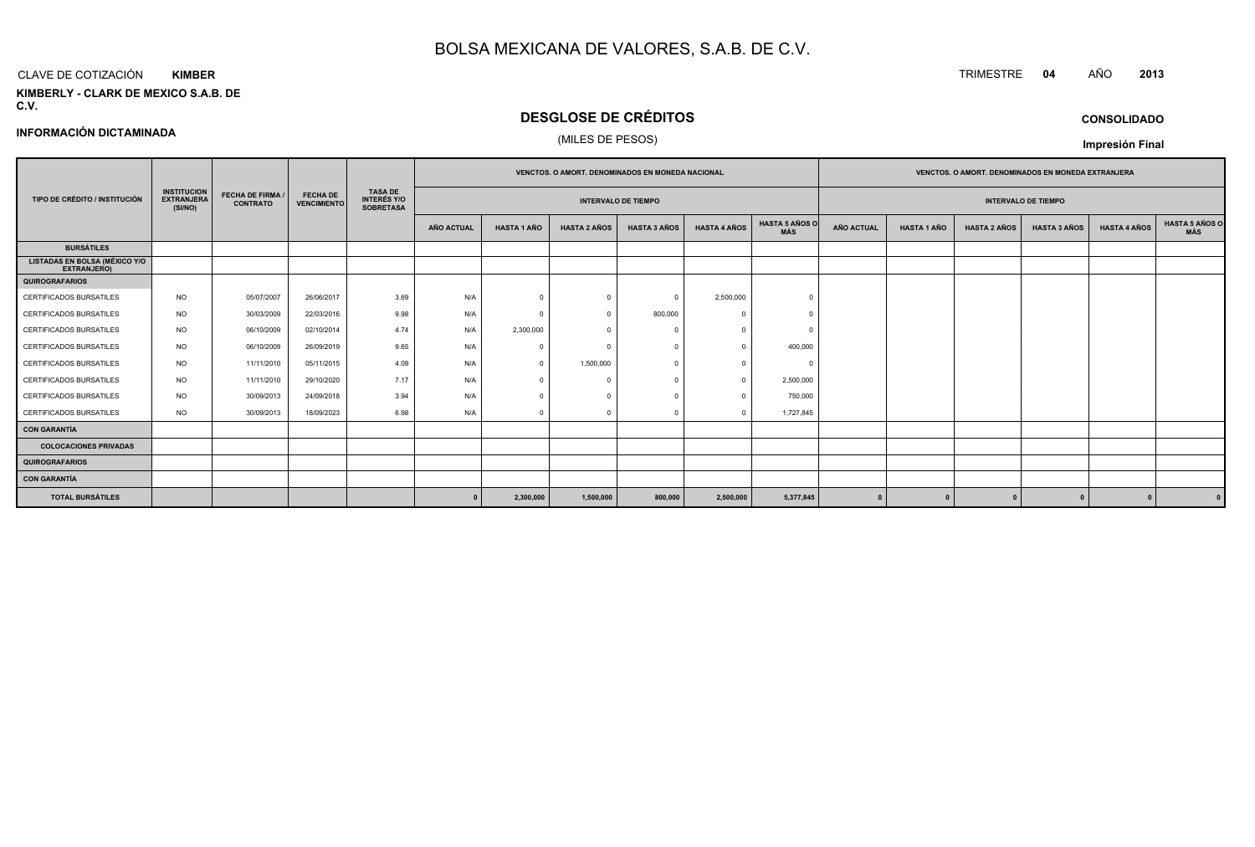#### CLAVE DE COTIZACIÓN**KIMBER**

**INFORMACIÓN DICTAMINADA**

**KIMBERLY - CLARK DE MEXICO S.A.B. DE C.V.**

### **DESGLOSE DE CRÉDITOS**

(MILES DE PESOS)

|                                                            |                                                    |                                            |                                       |                                                          |                            |                    | VENCTOS. O AMORT. DENOMINADOS EN MONEDA NACIONAL |                     |                     |                              |                   |                    | VENCTOS. O AMORT. DENOMINADOS EN MONEDA EXTRANJERA |                     |                     |                              |
|------------------------------------------------------------|----------------------------------------------------|--------------------------------------------|---------------------------------------|----------------------------------------------------------|----------------------------|--------------------|--------------------------------------------------|---------------------|---------------------|------------------------------|-------------------|--------------------|----------------------------------------------------|---------------------|---------------------|------------------------------|
| TIPO DE CRÉDITO / INSTITUCIÓN                              | <b>INSTITUCION</b><br><b>EXTRANJERA</b><br>(SI/NO) | <b>FECHA DE FIRMA /</b><br><b>CONTRATO</b> | <b>FECHA DE</b><br><b>VENCIMIENTO</b> | <b>TASA DE</b><br><b>INTERÉS Y/O</b><br><b>SOBRETASA</b> | <b>INTERVALO DE TIEMPO</b> |                    |                                                  |                     |                     | <b>INTERVALO DE TIEMPO</b>   |                   |                    |                                                    |                     |                     |                              |
|                                                            |                                                    |                                            |                                       |                                                          | AÑO ACTUAL                 | <b>HASTA 1 AÑO</b> | <b>HASTA 2 AÑOS</b>                              | <b>HASTA 3 AÑOS</b> | <b>HASTA 4 AÑOS</b> | <b>HASTA 5 AÑOS O</b><br>MÁS | <b>AÑO ACTUAL</b> | <b>HASTA 1 AÑO</b> | <b>HASTA 2 AÑOS</b>                                | <b>HASTA 3 AÑOS</b> | <b>HASTA 4 AÑOS</b> | <b>HASTA 5 AÑOS C</b><br>MÁS |
| <b>BURSÁTILES</b>                                          |                                                    |                                            |                                       |                                                          |                            |                    |                                                  |                     |                     |                              |                   |                    |                                                    |                     |                     |                              |
| <b>LISTADAS EN BOLSA (MÉXICO Y/O</b><br><b>EXTRANJERO)</b> |                                                    |                                            |                                       |                                                          |                            |                    |                                                  |                     |                     |                              |                   |                    |                                                    |                     |                     |                              |
| <b>QUIROGRAFARIOS</b>                                      |                                                    |                                            |                                       |                                                          |                            |                    |                                                  |                     |                     |                              |                   |                    |                                                    |                     |                     |                              |
| CERTIFICADOS BURSATILES                                    | <b>NO</b>                                          | 05/07/2007                                 | 26/06/2017                            | 3.69                                                     | N/A                        | $\Omega$           | $\Omega$                                         |                     | 2,500,000           |                              |                   |                    |                                                    |                     |                     |                              |
| CERTIFICADOS BURSATILES                                    | <b>NO</b>                                          | 30/03/2009                                 | 22/03/2016                            | 9.98                                                     | N/A                        | $\Omega$           | $\Omega$                                         | 800,000             | $\Omega$            | $\Omega$                     |                   |                    |                                                    |                     |                     |                              |
| CERTIFICADOS BURSATILES                                    | <b>NO</b>                                          | 06/10/2009                                 | 02/10/2014                            | 4.74                                                     | N/A                        | 2,300,000          |                                                  |                     |                     |                              |                   |                    |                                                    |                     |                     |                              |
| CERTIFICADOS BURSATILES                                    | <b>NO</b>                                          | 06/10/2009                                 | 26/09/2019                            | 9.65                                                     | N/A                        | $\Omega$           | $\Omega$                                         |                     | $\Omega$            | 400,000                      |                   |                    |                                                    |                     |                     |                              |
| <b>CERTIFICADOS BURSATILES</b>                             | <b>NO</b>                                          | 11/11/2010                                 | 05/11/2015                            | 4.09                                                     | N/A                        | $\Omega$           | 1,500,000                                        |                     |                     |                              |                   |                    |                                                    |                     |                     |                              |
| CERTIFICADOS BURSATILES                                    | <b>NO</b>                                          | 11/11/2010                                 | 29/10/2020                            | 7.17                                                     | N/A                        |                    | $\Omega$                                         |                     | $\Omega$            | 2,500,000                    |                   |                    |                                                    |                     |                     |                              |
| CERTIFICADOS BURSATILES                                    | <b>NO</b>                                          | 30/09/2013                                 | 24/09/2018                            | 3.94                                                     | N/A                        |                    |                                                  |                     | $\Omega$            | 750,000                      |                   |                    |                                                    |                     |                     |                              |
| <b>CERTIFICADOS BURSATILES</b>                             | <b>NO</b>                                          | 30/09/2013                                 | 18/09/2023                            | 6.98                                                     | N/A                        |                    | $\sqrt{2}$                                       |                     | $\Omega$            | 1,727,845                    |                   |                    |                                                    |                     |                     |                              |
| <b>CON GARANTÍA</b>                                        |                                                    |                                            |                                       |                                                          |                            |                    |                                                  |                     |                     |                              |                   |                    |                                                    |                     |                     |                              |
| <b>COLOCACIONES PRIVADAS</b>                               |                                                    |                                            |                                       |                                                          |                            |                    |                                                  |                     |                     |                              |                   |                    |                                                    |                     |                     |                              |
| <b>QUIROGRAFARIOS</b>                                      |                                                    |                                            |                                       |                                                          |                            |                    |                                                  |                     |                     |                              |                   |                    |                                                    |                     |                     |                              |
| <b>CON GARANTÍA</b>                                        |                                                    |                                            |                                       |                                                          |                            |                    |                                                  |                     |                     |                              |                   |                    |                                                    |                     |                     |                              |
| <b>TOTAL BURSÁTILES</b>                                    |                                                    |                                            |                                       |                                                          |                            | 2,300,000          | 1,500,000                                        | 800,000             | 2,500,000           | 5,377,845                    | $\Omega$          |                    |                                                    |                     |                     |                              |

**CONSOLIDADO**

**Impresión Final**

TRIMESTRE **<sup>04</sup>** AÑO **<sup>2013</sup>**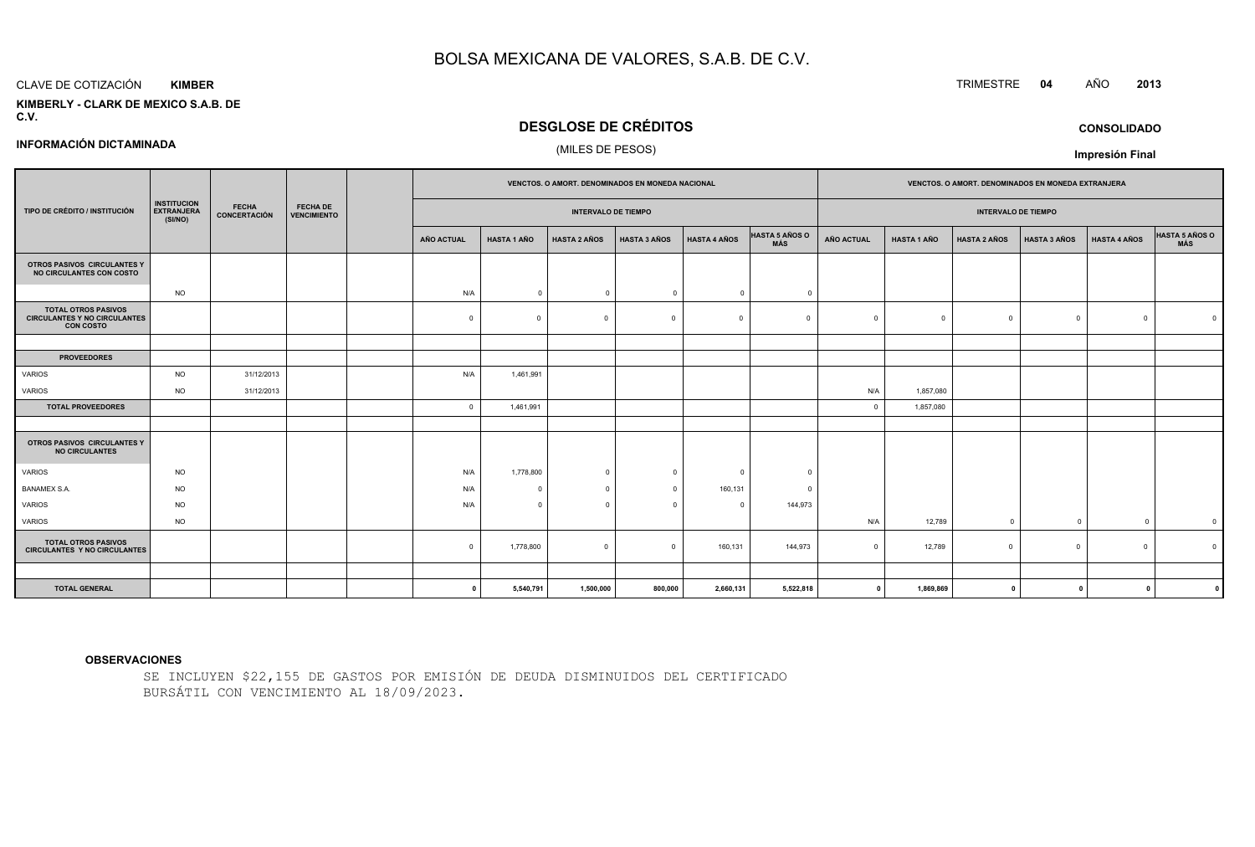#### CLAVE DE COTIZACIÓN**KIMBER**

**INFORMACIÓN DICTAMINADA**

#### **KIMBERLY - CLARK DE MEXICO S.A.B. DEC.V.**

### **DESGLOSE DE CRÉDITOS**

#### (MILES DE PESOS)

|                                                                                       |                                                                    |              |                                | VENCTOS. O AMORT. DENOMINADOS EN MONEDA NACIONAL |                    |                     |                     | VENCTOS. O AMORT. DENOMINADOS EN MONEDA EXTRANJERA |                              |                |                    |                     |                     |                     |                       |
|---------------------------------------------------------------------------------------|--------------------------------------------------------------------|--------------|--------------------------------|--------------------------------------------------|--------------------|---------------------|---------------------|----------------------------------------------------|------------------------------|----------------|--------------------|---------------------|---------------------|---------------------|-----------------------|
| TIPO DE CRÉDITO / INSTITUCIÓN                                                         | <b>INSTITUCION</b><br><b>FECHA</b><br><b>EXTRANJERA</b><br>(SI/NO) | CONCERTACIÓN | FECHA DE<br><b>VENCIMIENTO</b> | <b>INTERVALO DE TIEMPO</b>                       |                    |                     |                     |                                                    | <b>INTERVALO DE TIEMPO</b>   |                |                    |                     |                     |                     |                       |
|                                                                                       |                                                                    |              |                                | <b>AÑO ACTUAL</b>                                | <b>HASTA 1 AÑO</b> | <b>HASTA 2 AÑOS</b> | <b>HASTA 3 AÑOS</b> | <b>HASTA 4 AÑOS</b>                                | <b>HASTA 5 AÑOS O</b><br>MÁS | AÑO ACTUAL     | <b>HASTA 1 AÑO</b> | <b>HASTA 2 AÑOS</b> | <b>HASTA 3 AÑOS</b> | <b>HASTA 4 AÑOS</b> | HASTA 5 AÑOS O<br>MÁS |
| OTROS PASIVOS CIRCULANTES Y<br>NO CIRCULANTES CON COSTO                               |                                                                    |              |                                |                                                  |                    |                     |                     |                                                    |                              |                |                    |                     |                     |                     |                       |
|                                                                                       | <b>NO</b>                                                          |              |                                | N/A                                              | $\Omega$           | $\overline{0}$      | $\Omega$            | $\circ$                                            | $\Omega$                     |                |                    |                     |                     |                     |                       |
| <b>TOTAL OTROS PASIVOS</b><br><b>CIRCULANTES Y NO CIRCULANTES</b><br><b>CON COSTO</b> |                                                                    |              |                                | $\Omega$                                         |                    | $\Omega$            | $\Omega$            | $\Omega$                                           | $\Omega$                     | $\Omega$       | $\Omega$           |                     | $\mathbf 0$         | $\Omega$            |                       |
|                                                                                       |                                                                    |              |                                |                                                  |                    |                     |                     |                                                    |                              |                |                    |                     |                     |                     |                       |
| <b>PROVEEDORES</b>                                                                    |                                                                    |              |                                |                                                  |                    |                     |                     |                                                    |                              |                |                    |                     |                     |                     |                       |
| <b>VARIOS</b>                                                                         | <b>NO</b>                                                          | 31/12/2013   |                                | N/A                                              | 1,461,991          |                     |                     |                                                    |                              |                |                    |                     |                     |                     |                       |
| <b>VARIOS</b>                                                                         | <b>NO</b>                                                          | 31/12/2013   |                                |                                                  |                    |                     |                     |                                                    |                              | N/A            | 1,857,080          |                     |                     |                     |                       |
| <b>TOTAL PROVEEDORES</b>                                                              |                                                                    |              |                                | $\overline{0}$                                   | 1,461,991          |                     |                     |                                                    |                              | $\overline{0}$ | 1,857,080          |                     |                     |                     |                       |
|                                                                                       |                                                                    |              |                                |                                                  |                    |                     |                     |                                                    |                              |                |                    |                     |                     |                     |                       |
| OTROS PASIVOS CIRCULANTES Y<br><b>NO CIRCULANTES</b>                                  |                                                                    |              |                                |                                                  |                    |                     |                     |                                                    |                              |                |                    |                     |                     |                     |                       |
| <b>VARIOS</b>                                                                         | <b>NO</b>                                                          |              |                                | N/A                                              | 1,778,800          | $\overline{0}$      | $\Omega$            | $\Omega$                                           | $\Omega$                     |                |                    |                     |                     |                     |                       |
| <b>BANAMEX S.A.</b>                                                                   | <b>NO</b>                                                          |              |                                | N/A                                              | $\Omega$           | $\overline{0}$      | $\Omega$            | 160,131                                            | $\Omega$                     |                |                    |                     |                     |                     |                       |
| <b>VARIOS</b>                                                                         | <b>NO</b>                                                          |              |                                | N/A                                              | $\Omega$           | $\Omega$            | $\sqrt{2}$          | $\Omega$                                           | 144,973                      |                |                    |                     |                     |                     |                       |
| <b>VARIOS</b>                                                                         | <b>NO</b>                                                          |              |                                |                                                  |                    |                     |                     |                                                    |                              | N/A            | 12,789             | $\Omega$            | $\Omega$            | $\Omega$            | $\mathbf 0$           |
| <b>TOTAL OTROS PASIVOS</b><br><b>CIRCULANTES Y NO CIRCULANTES</b>                     |                                                                    |              |                                | $\Omega$                                         | 1,778,800          | $\circ$             | $\Omega$            | 160,131                                            | 144,973                      | $\Omega$       | 12,789             | $\Omega$            | $\circ$             | $\Omega$            |                       |
|                                                                                       |                                                                    |              |                                |                                                  |                    |                     |                     |                                                    |                              |                |                    |                     |                     |                     |                       |
| <b>TOTAL GENERAL</b>                                                                  |                                                                    |              |                                | $\mathbf 0$                                      | 5,540,791          | 1,500,000           | 800,000             | 2,660,131                                          | 5,522,818                    | $\mathbf 0$    | 1,869,869          | $\mathbf 0$         | $\mathbf{0}$        | $\Omega$            |                       |

#### **OBSERVACIONES**

SE INCLUYEN \$22,155 DE GASTOS POR EMISIÓN DE DEUDA DISMINUIDOS DEL CERTIFICADOBURSÁTIL CON VENCIMIENTO AL 18/09/2023.

### TRIMESTRE **<sup>04</sup>** AÑO **<sup>2013</sup>**

**CONSOLIDADO**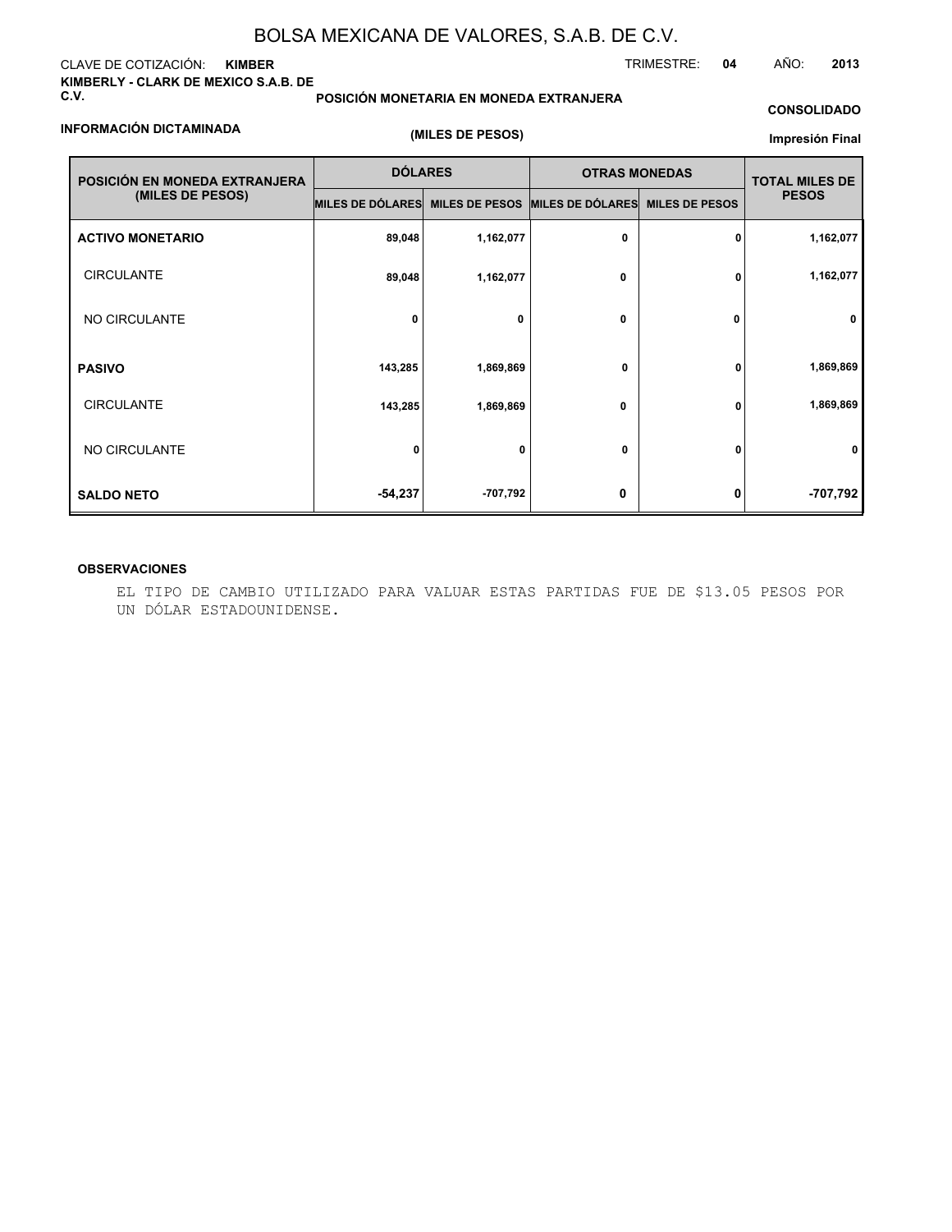#### CLAVE DE COTIZACIÓN: **KIMBER KIMBERLY - CLARK DE MEXICO S.A.B. DE C.V.**

**POSICIÓN MONETARIA EN MONEDA EXTRANJERA**

TRIMESTRE: **04** AÑO: **2013**

#### **CONSOLIDADO**

#### **INFORMACIÓN DICTAMINADA**

**(MILES DE PESOS)**

#### **Impresión Final**

| POSICIÓN EN MONEDA EXTRANJERA | <b>DÓLARES</b>                                   |           | <b>OTRAS MONEDAS</b> | <b>TOTAL MILES DE</b> |              |
|-------------------------------|--------------------------------------------------|-----------|----------------------|-----------------------|--------------|
| (MILES DE PESOS)              | MILES DE DÓLARES MILES DE PESOS MILES DE DÓLARES |           |                      | <b>MILES DE PESOS</b> | <b>PESOS</b> |
| <b>ACTIVO MONETARIO</b>       | 89,048                                           | 1,162,077 | 0                    | 0                     | 1,162,077    |
| <b>CIRCULANTE</b>             | 89,048                                           | 1,162,077 | 0                    | 0                     | 1,162,077    |
| NO CIRCULANTE                 | 0                                                | 0         | 0                    | 0                     | 0            |
| <b>PASIVO</b>                 | 143,285                                          | 1,869,869 | 0                    | 0                     | 1,869,869    |
| <b>CIRCULANTE</b>             | 143,285                                          | 1,869,869 | 0                    | 0                     | 1,869,869    |
| NO CIRCULANTE                 | 0                                                | 0         | 0                    | 0                     | 0            |
| <b>SALDO NETO</b>             | $-54,237$                                        | -707,792  | 0                    | 0                     | -707,792     |

#### **OBSERVACIONES**

EL TIPO DE CAMBIO UTILIZADO PARA VALUAR ESTAS PARTIDAS FUE DE \$13.05 PESOS POR UN DÓLAR ESTADOUNIDENSE.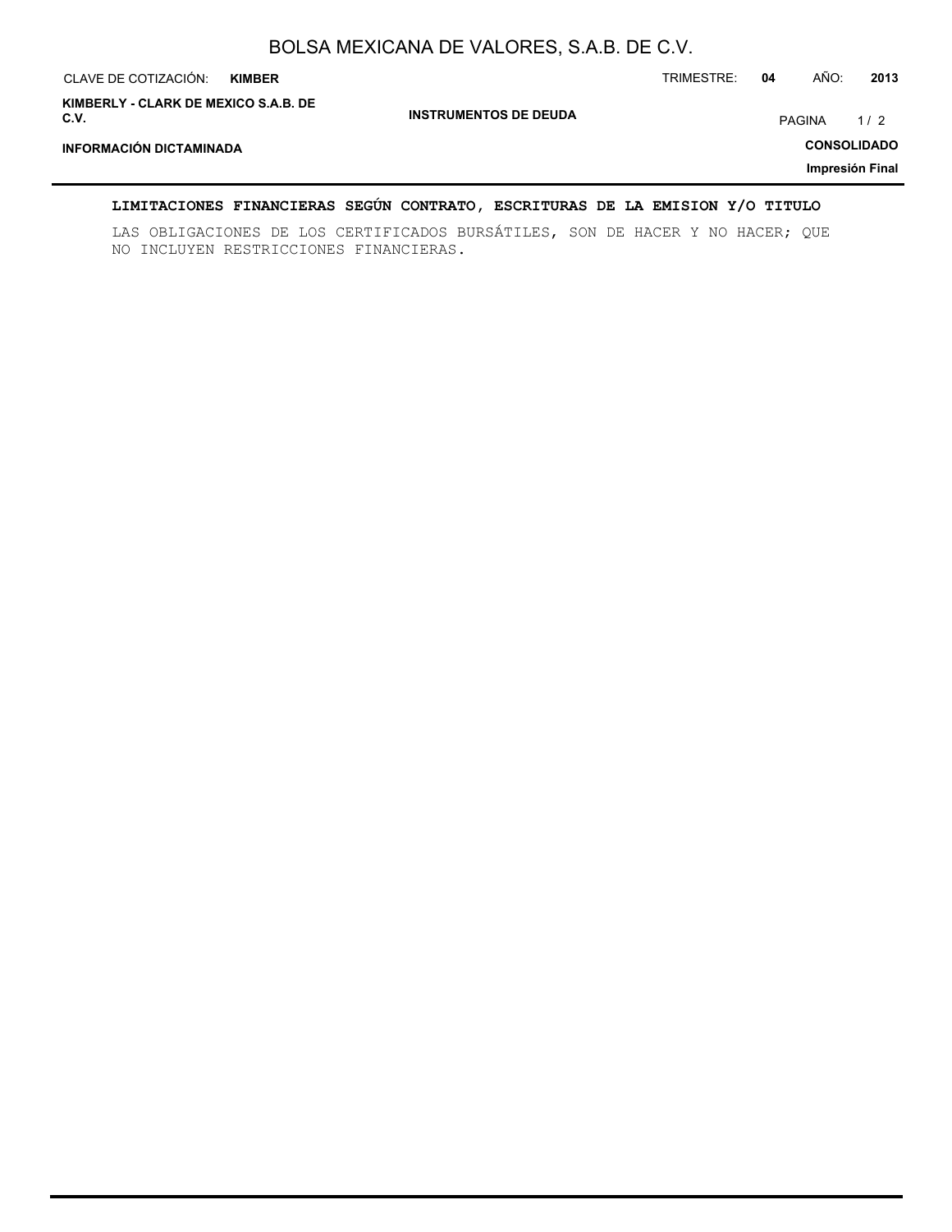| CLAVE DE COTIZACIÓN:                         | <b>KIMBER</b> |                              | TRIMESTRE: | 04            | AÑO:               | 2013 |
|----------------------------------------------|---------------|------------------------------|------------|---------------|--------------------|------|
| KIMBERLY - CLARK DE MEXICO S.A.B. DE<br>C.V. |               | <b>INSTRUMENTOS DE DEUDA</b> |            | <b>PAGINA</b> |                    | 1/2  |
| <b>INFORMACIÓN DICTAMINADA</b>               |               |                              |            |               | <b>CONSOLIDADO</b> |      |
|                                              |               |                              |            |               | Impresión Final    |      |

#### **LIMITACIONES FINANCIERAS SEGÚN CONTRATO, ESCRITURAS DE LA EMISION Y/O TITULO**

LAS OBLIGACIONES DE LOS CERTIFICADOS BURSÁTILES, SON DE HACER Y NO HACER; QUE NO INCLUYEN RESTRICCIONES FINANCIERAS.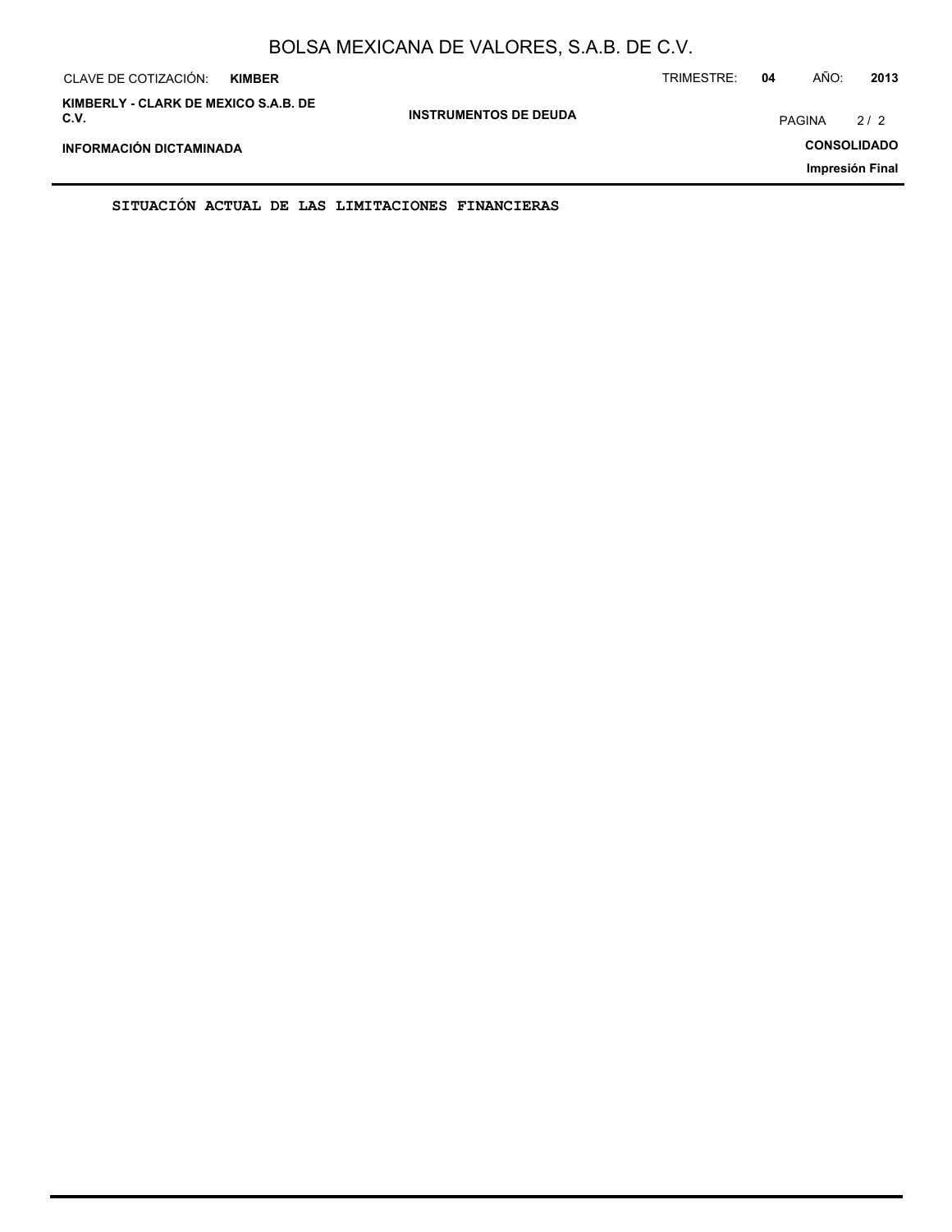| CLAVE DE COTIZACIÓN:<br><b>KIMBER</b>        |                              | TRIMESTRE: | 04            | AÑO: | 2013               |
|----------------------------------------------|------------------------------|------------|---------------|------|--------------------|
| KIMBERLY - CLARK DE MEXICO S.A.B. DE<br>C.V. | <b>INSTRUMENTOS DE DEUDA</b> |            | <b>PAGINA</b> |      | 2/2                |
| INFORMACIÓN DICTAMINADA                      |                              |            |               |      | <b>CONSOLIDADO</b> |
|                                              |                              |            |               |      | Impresión Final    |

**SITUACIÓN ACTUAL DE LAS LIMITACIONES FINANCIERAS**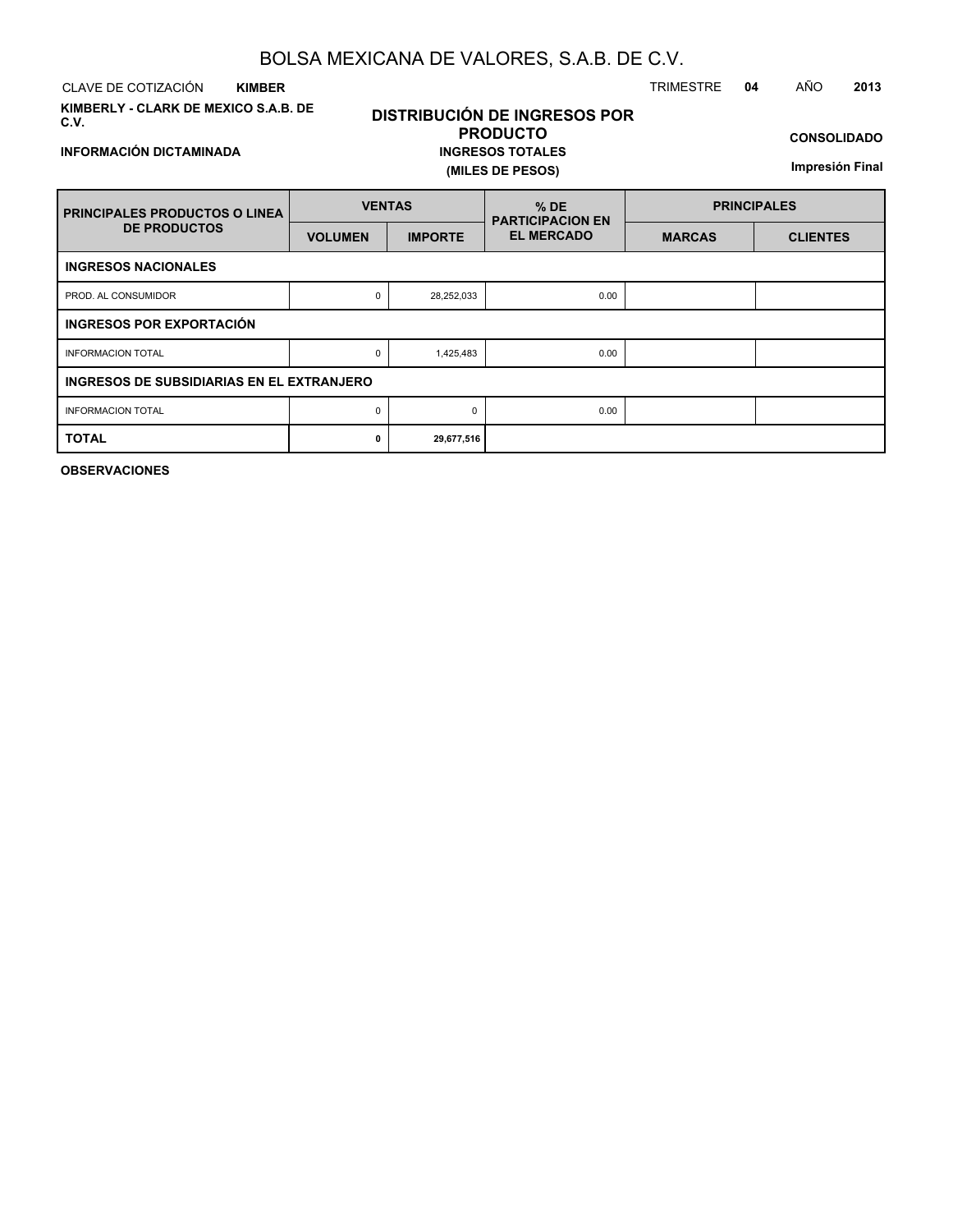CLAVE DE COTIZACIÓN TRIMESTRE **04** AÑO **2013 KIMBER**

**INFORMACIÓN DICTAMINADA**

**KIMBERLY - CLARK DE MEXICO S.A.B. DE C.V.**

### **DISTRIBUCIÓN DE INGRESOS POR PRODUCTO INGRESOS TOTALES (MILES DE PESOS)**

**CONSOLIDADO**

**Impresión Final**

| <b>FRINCIPALES PRODUCTOS O LINEA</b>      | <b>VENTAS</b>  |                | $%$ DE<br><b>PARTICIPACION EN</b> | <b>PRINCIPALES</b> |                 |  |  |  |  |
|-------------------------------------------|----------------|----------------|-----------------------------------|--------------------|-----------------|--|--|--|--|
| <b>DE PRODUCTOS</b>                       | <b>VOLUMEN</b> | <b>IMPORTE</b> | <b>EL MERCADO</b>                 | <b>MARCAS</b>      | <b>CLIENTES</b> |  |  |  |  |
| <b>INGRESOS NACIONALES</b>                |                |                |                                   |                    |                 |  |  |  |  |
| PROD. AL CONSUMIDOR                       | 0              | 28,252,033     | 0.00                              |                    |                 |  |  |  |  |
| <b>INGRESOS POR EXPORTACIÓN</b>           |                |                |                                   |                    |                 |  |  |  |  |
| <b>INFORMACION TOTAL</b>                  | 0              | 1,425,483      | 0.00                              |                    |                 |  |  |  |  |
| INGRESOS DE SUBSIDIARIAS EN EL EXTRANJERO |                |                |                                   |                    |                 |  |  |  |  |
| <b>INFORMACION TOTAL</b>                  | 0              | $\Omega$       | 0.00                              |                    |                 |  |  |  |  |
| <b>TOTAL</b>                              | 0              | 29,677,516     |                                   |                    |                 |  |  |  |  |

**OBSERVACIONES**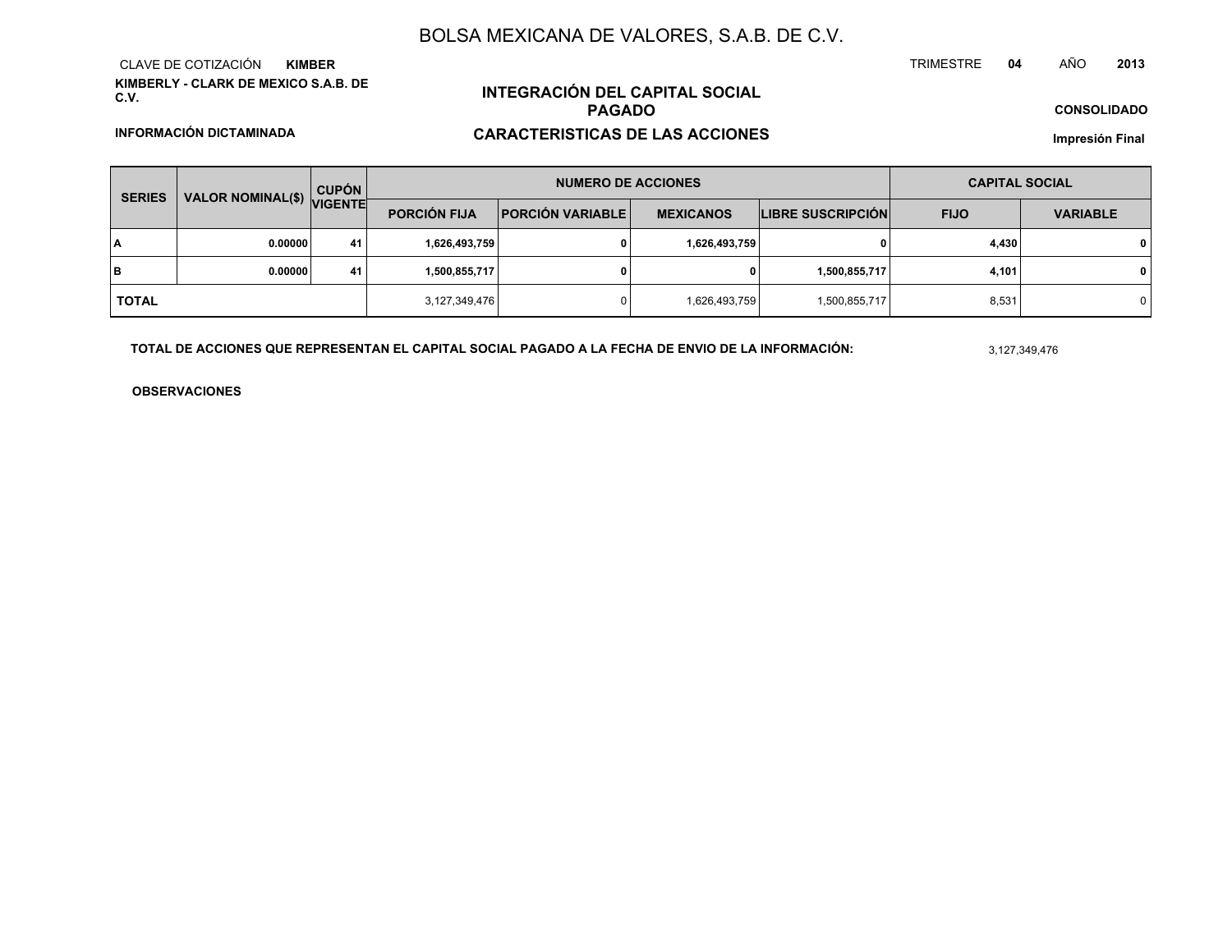**KIMBERLY - CLARK DE MEXICO S.A.B. DE C.V.**CLAVE DE COTIZACIÓN**KIMBER**

## **INTEGRACIÓN DEL CAPITAL SOCIALPAGADO**

### **CARACTERISTICAS DE LAS ACCIONES**

**CONSOLIDADO**

**<sup>2013</sup>**

**<sup>04</sup>** AÑO

**Impresión Final**

| <b>SERIES</b> |                           | <b>CUPÓN</b> |                     | <b>NUMERO DE ACCIONES</b> | <b>CAPITAL SOCIAL</b> |                          |             |                 |  |
|---------------|---------------------------|--------------|---------------------|---------------------------|-----------------------|--------------------------|-------------|-----------------|--|
|               | VALOR NOMINAL(\$) VIGENTE |              | <b>PORCIÓN FIJA</b> | <b>PORCIÓN VARIABLE</b>   |                       | <b>LIBRE SUSCRIPCIÓN</b> | <b>FIJO</b> | <b>VARIABLE</b> |  |
| I٨            | 0.00000                   | 41           | 1,626,493,759       |                           | 1,626,493,759         | 0                        | 4,430       | $\mathbf{0}$    |  |
| lв            | 0.00000                   | 41           | 1,500,855,717       |                           | 0                     | 1,500,855,717            | 4,101       | $\mathbf{0}$    |  |
| <b>TOTAL</b>  |                           |              | 3,127,349,476       |                           | 1,626,493,759         | 1,500,855,717            | 8,531       | 0               |  |

**TOTAL DE ACCIONES QUE REPRESENTAN EL CAPITAL SOCIAL PAGADO A LA FECHA DE ENVIO DE LA INFORMACIÓN:**

3,127,349,476

TRIMESTRE

**OBSERVACIONES**

#### **INFORMACIÓN DICTAMINADA**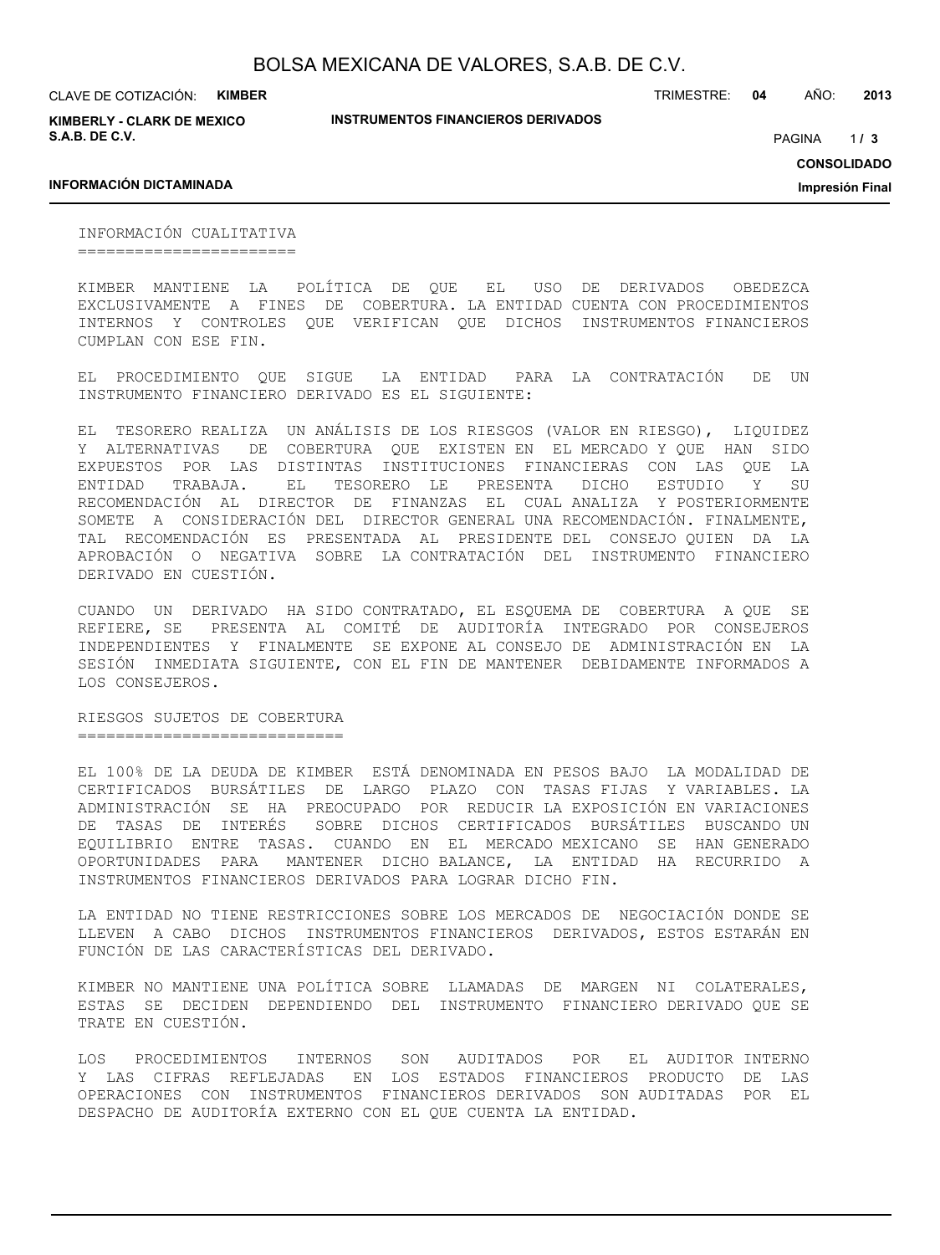**INSTRUMENTOS FINANCIEROS DERIVADOS**

CLAVE DE COTIZACIÓN: **KIMBER**

**KIMBERLY - CLARK DE MEXICO S.A.B. DE C.V.**

TRIMESTRE: **04** AÑO: **2013**

 $1/3$ PAGINA **/ 3**

**CONSOLIDADO**

**Impresión Final**

#### **INFORMACIÓN DICTAMINADA**

INFORMACIÓN CUALITATIVA =======================

KIMBER MANTIENE LA POLÍTICA DE QUE EL USO DE DERIVADOS OBEDEZCA EXCLUSIVAMENTE A FINES DE COBERTURA. LA ENTIDAD CUENTA CON PROCEDIMIENTOS INTERNOS Y CONTROLES QUE VERIFICAN QUE DICHOS INSTRUMENTOS FINANCIEROS CUMPLAN CON ESE FIN.

EL PROCEDIMIENTO QUE SIGUE LA ENTIDAD PARA LA CONTRATACIÓN DE UN INSTRUMENTO FINANCIERO DERIVADO ES EL SIGUIENTE:

EL TESORERO REALIZA UN ANÁLISIS DE LOS RIESGOS (VALOR EN RIESGO), LIQUIDEZ Y ALTERNATIVAS DE COBERTURA QUE EXISTEN EN EL MERCADO Y QUE HAN SIDO EXPUESTOS POR LAS DISTINTAS INSTITUCIONES FINANCIERAS CON LAS QUE LA ENTIDAD TRABAJA. EL TESORERO LE PRESENTA DICHO ESTUDIO Y SU RECOMENDACIÓN AL DIRECTOR DE FINANZAS EL CUAL ANALIZA Y POSTERIORMENTE SOMETE A CONSIDERACIÓN DEL DIRECTOR GENERAL UNA RECOMENDACIÓN. FINALMENTE, TAL RECOMENDACIÓN ES PRESENTADA AL PRESIDENTE DEL CONSEJO QUIEN DA LA APROBACIÓN O NEGATIVA SOBRE LA CONTRATACIÓN DEL INSTRUMENTO FINANCIERO DERIVADO EN CUESTIÓN.

CUANDO UN DERIVADO HA SIDO CONTRATADO, EL ESQUEMA DE COBERTURA A QUE SE REFIERE, SE PRESENTA AL COMITÉ DE AUDITORÍA INTEGRADO POR CONSEJEROS INDEPENDIENTES Y FINALMENTE SE EXPONE AL CONSEJO DE ADMINISTRACIÓN EN LA SESIÓN INMEDIATA SIGUIENTE, CON EL FIN DE MANTENER DEBIDAMENTE INFORMADOS A LOS CONSEJEROS.

RIESGOS SUJETOS DE COBERTURA ============================

EL 100% DE LA DEUDA DE KIMBER ESTÁ DENOMINADA EN PESOS BAJO LA MODALIDAD DE CERTIFICADOS BURSÁTILES DE LARGO PLAZO CON TASAS FIJAS Y VARIABLES. LA ADMINISTRACIÓN SE HA PREOCUPADO POR REDUCIR LA EXPOSICIÓN EN VARIACIONES DE TASAS DE INTERÉS SOBRE DICHOS CERTIFICADOS BURSÁTILES BUSCANDO UN EQUILIBRIO ENTRE TASAS. CUANDO EN EL MERCADO MEXICANO SE HAN GENERADO OPORTUNIDADES PARA MANTENER DICHO BALANCE, LA ENTIDAD HA RECURRIDO A INSTRUMENTOS FINANCIEROS DERIVADOS PARA LOGRAR DICHO FIN.

LA ENTIDAD NO TIENE RESTRICCIONES SOBRE LOS MERCADOS DE NEGOCIACIÓN DONDE SE LLEVEN A CABO DICHOS INSTRUMENTOS FINANCIEROS DERIVADOS, ESTOS ESTARÁN EN FUNCIÓN DE LAS CARACTERÍSTICAS DEL DERIVADO.

KIMBER NO MANTIENE UNA POLÍTICA SOBRE LLAMADAS DE MARGEN NI COLATERALES, ESTAS SE DECIDEN DEPENDIENDO DEL INSTRUMENTO FINANCIERO DERIVADO QUE SE TRATE EN CUESTIÓN.

LOS PROCEDIMIENTOS INTERNOS SON AUDITADOS POR EL AUDITOR INTERNO Y LAS CIFRAS REFLEJADAS EN LOS ESTADOS FINANCIEROS PRODUCTO DE LAS OPERACIONES CON INSTRUMENTOS FINANCIEROS DERIVADOS SON AUDITADAS POR EL DESPACHO DE AUDITORÍA EXTERNO CON EL QUE CUENTA LA ENTIDAD.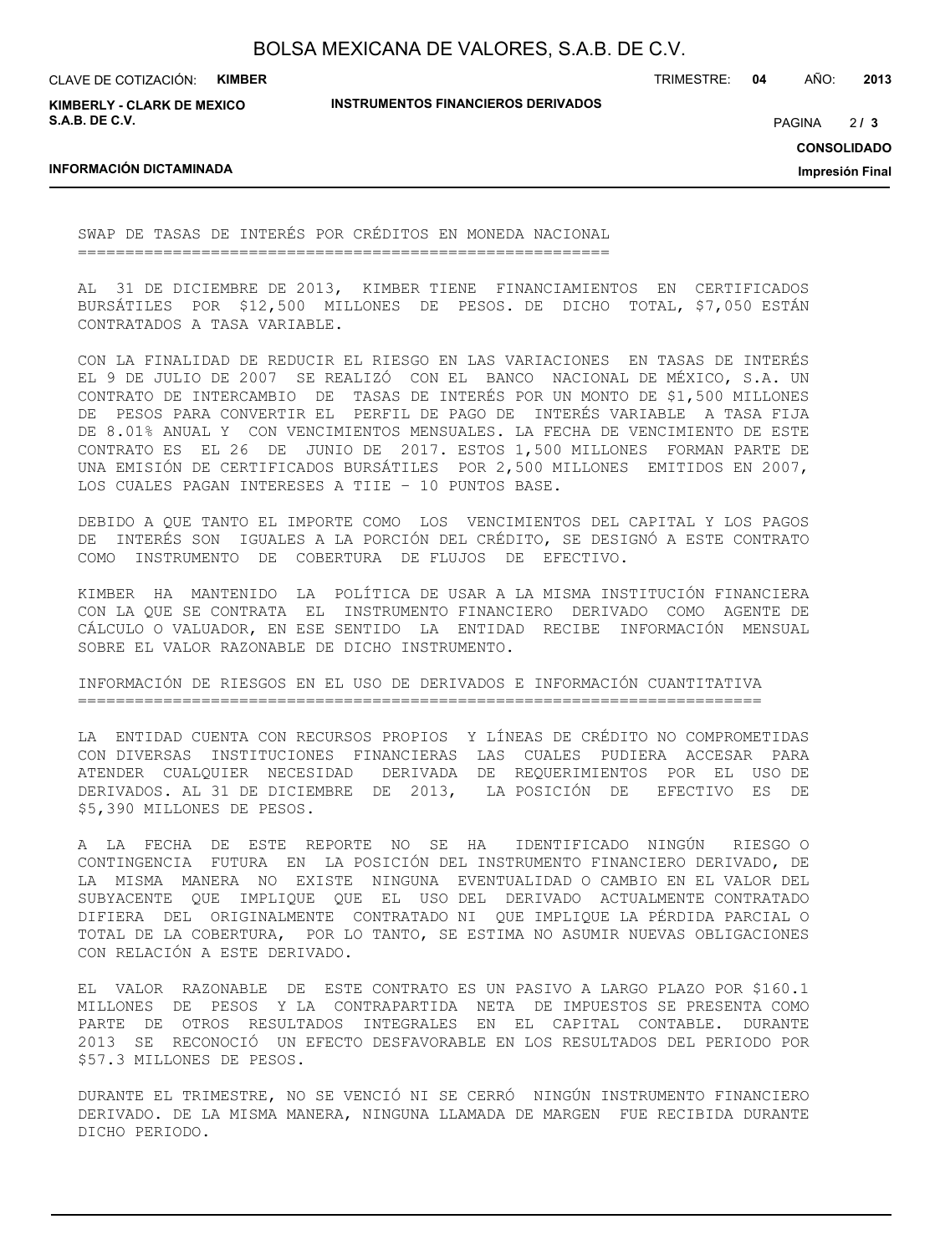CLAVE DE COTIZACIÓN: **KIMBER**

**KIMBERLY - CLARK DE MEXICO S.A.B. DE C.V.**

**INSTRUMENTOS FINANCIEROS DERIVADOS**

TRIMESTRE: **04** AÑO: **2013**

 $213$ PAGINA **/ 3**

**CONSOLIDADO**

**Impresión Final**

#### **INFORMACIÓN DICTAMINADA**

SWAP DE TASAS DE INTERÉS POR CRÉDITOS EN MONEDA NACIONAL ========================================================

AL 31 DE DICIEMBRE DE 2013, KIMBER TIENE FINANCIAMIENTOS EN CERTIFICADOS BURSÁTILES POR \$12,500 MILLONES DE PESOS. DE DICHO TOTAL, \$7,050 ESTÁN CONTRATADOS A TASA VARIABLE.

CON LA FINALIDAD DE REDUCIR EL RIESGO EN LAS VARIACIONES EN TASAS DE INTERÉS EL 9 DE JULIO DE 2007 SE REALIZÓ CON EL BANCO NACIONAL DE MÉXICO, S.A. UN CONTRATO DE INTERCAMBIO DE TASAS DE INTERÉS POR UN MONTO DE \$1,500 MILLONES DE PESOS PARA CONVERTIR EL PERFIL DE PAGO DE INTERÉS VARIABLE A TASA FIJA DE 8.01% ANUAL Y CON VENCIMIENTOS MENSUALES. LA FECHA DE VENCIMIENTO DE ESTE CONTRATO ES EL 26 DE JUNIO DE 2017. ESTOS 1,500 MILLONES FORMAN PARTE DE UNA EMISIÓN DE CERTIFICADOS BURSÁTILES POR 2,500 MILLONES EMITIDOS EN 2007, LOS CUALES PAGAN INTERESES A TIIE – 10 PUNTOS BASE.

DEBIDO A QUE TANTO EL IMPORTE COMO LOS VENCIMIENTOS DEL CAPITAL Y LOS PAGOS DE INTERÉS SON IGUALES A LA PORCIÓN DEL CRÉDITO, SE DESIGNÓ A ESTE CONTRATO COMO INSTRUMENTO DE COBERTURA DE FLUJOS DE EFECTIVO.

KIMBER HA MANTENIDO LA POLÍTICA DE USAR A LA MISMA INSTITUCIÓN FINANCIERA CON LA QUE SE CONTRATA EL INSTRUMENTO FINANCIERO DERIVADO COMO AGENTE DE CÁLCULO O VALUADOR, EN ESE SENTIDO LA ENTIDAD RECIBE INFORMACIÓN MENSUAL SOBRE EL VALOR RAZONABLE DE DICHO INSTRUMENTO.

INFORMACIÓN DE RIESGOS EN EL USO DE DERIVADOS E INFORMACIÓN CUANTITATIVA ========================================================================

LA ENTIDAD CUENTA CON RECURSOS PROPIOS Y LÍNEAS DE CRÉDITO NO COMPROMETIDAS CON DIVERSAS INSTITUCIONES FINANCIERAS LAS CUALES PUDIERA ACCESAR PARA ATENDER CUALQUIER NECESIDAD DERIVADA DE REQUERIMIENTOS POR EL USO DE DERIVADOS. AL 31 DE DICIEMBRE DE 2013, LA POSICIÓN DE EFECTIVO ES DE \$5,390 MILLONES DE PESOS.

A LA FECHA DE ESTE REPORTE NO SE HA IDENTIFICADO NINGÚN RIESGO O CONTINGENCIA FUTURA EN LA POSICIÓN DEL INSTRUMENTO FINANCIERO DERIVADO, DE LA MISMA MANERA NO EXISTE NINGUNA EVENTUALIDAD O CAMBIO EN EL VALOR DEL SUBYACENTE QUE IMPLIQUE QUE EL USO DEL DERIVADO ACTUALMENTE CONTRATADO DIFIERA DEL ORIGINALMENTE CONTRATADO NI QUE IMPLIQUE LA PÉRDIDA PARCIAL O TOTAL DE LA COBERTURA, POR LO TANTO, SE ESTIMA NO ASUMIR NUEVAS OBLIGACIONES CON RELACIÓN A ESTE DERIVADO.

EL VALOR RAZONABLE DE ESTE CONTRATO ES UN PASIVO A LARGO PLAZO POR \$160.1 MILLONES DE PESOS Y LA CONTRAPARTIDA NETA DE IMPUESTOS SE PRESENTA COMO PARTE DE OTROS RESULTADOS INTEGRALES EN EL CAPITAL CONTABLE. DURANTE 2013 SE RECONOCIÓ UN EFECTO DESFAVORABLE EN LOS RESULTADOS DEL PERIODO POR \$57.3 MILLONES DE PESOS.

DURANTE EL TRIMESTRE, NO SE VENCIÓ NI SE CERRÓ NINGÚN INSTRUMENTO FINANCIERO DERIVADO. DE LA MISMA MANERA, NINGUNA LLAMADA DE MARGEN FUE RECIBIDA DURANTE DICHO PERIODO.